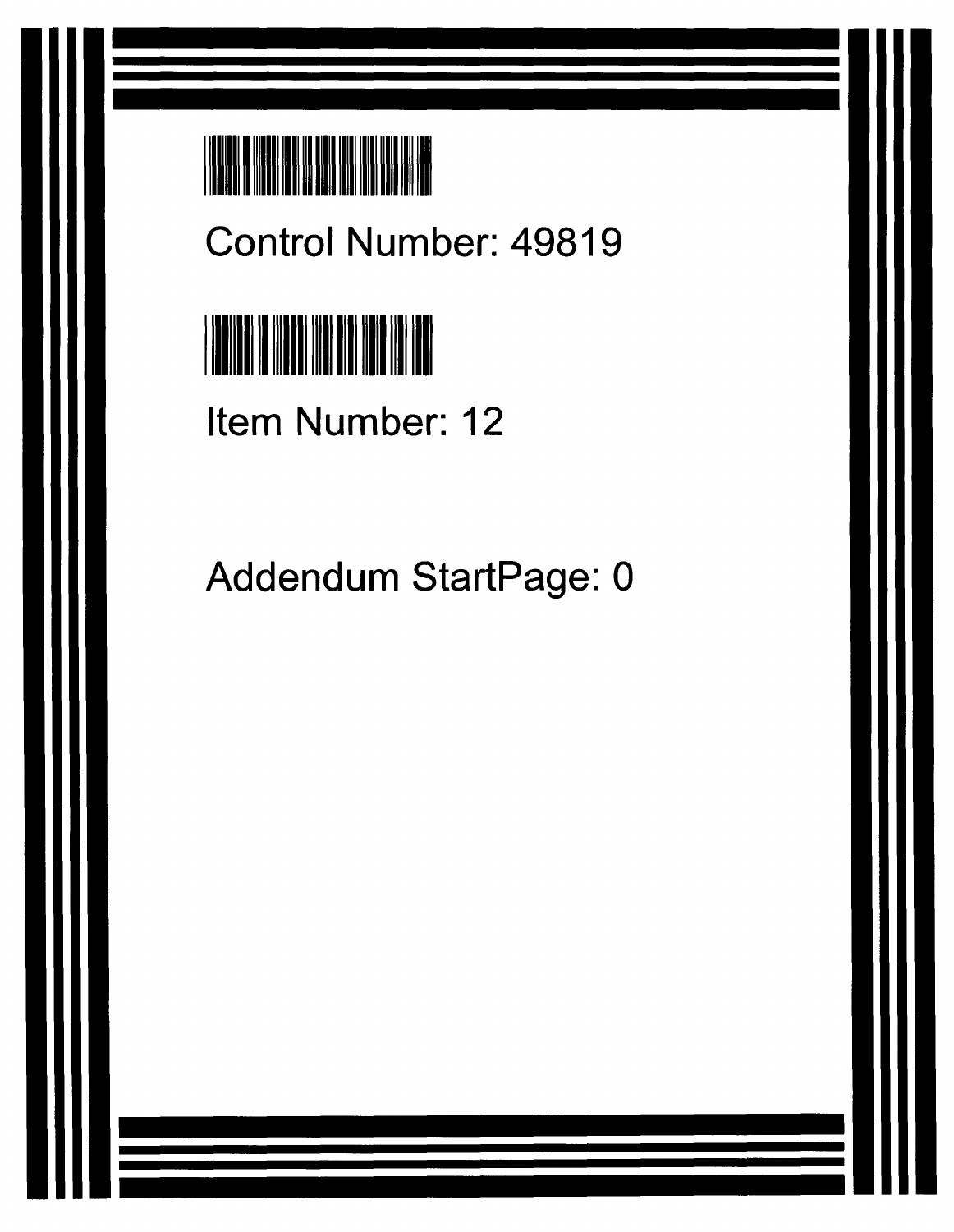

Control Number: 49819



Item Number: 12

Addendum StartPage: 0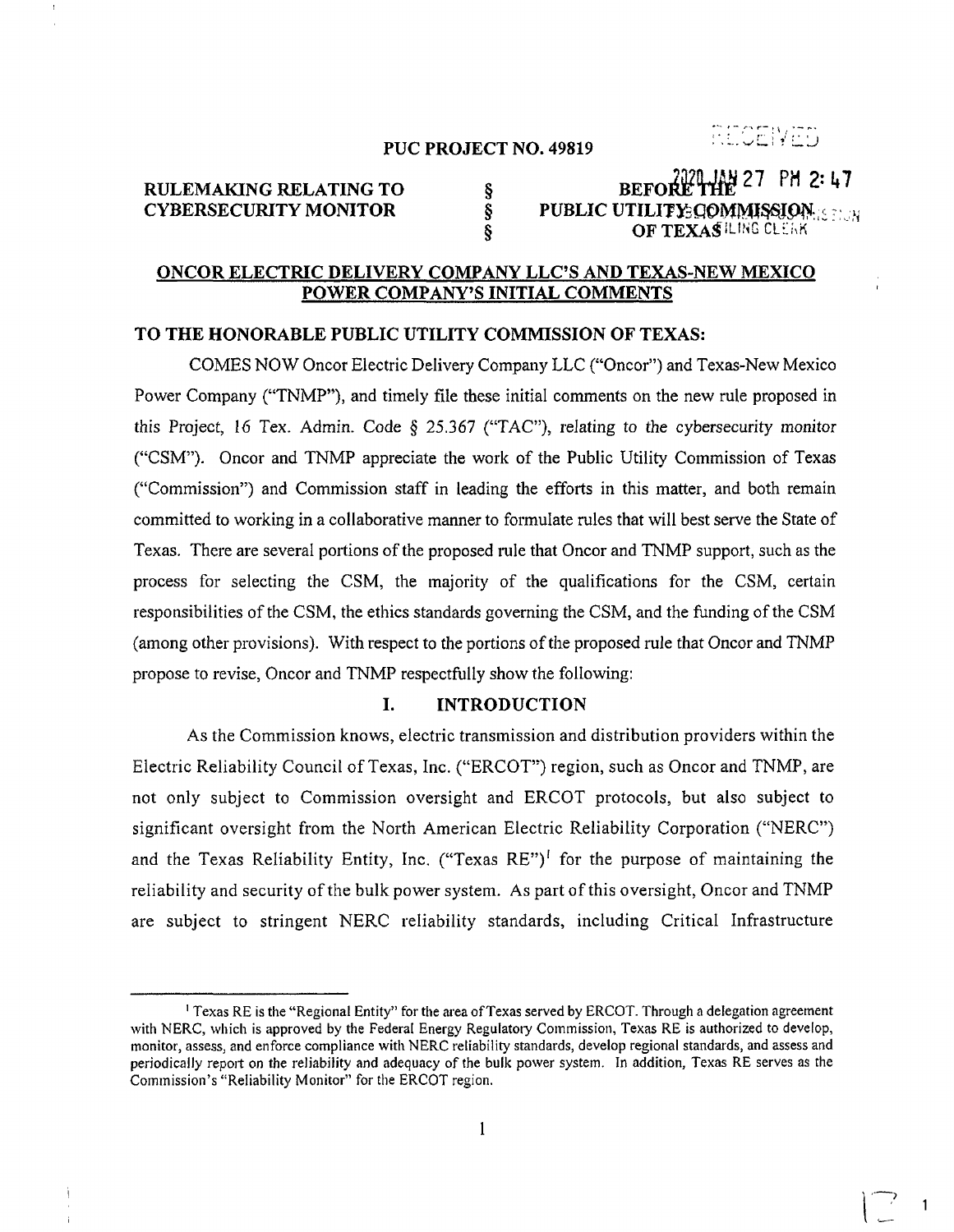# RECENTS

1

#### **PUC PROJECT NO. 49819**

# **RULEMAKING RELATING TO** 8<br> **CYBERSECURITY MONITOR 6 BEFORE THE 27 PM 2: 47**<br> **BEFORE THE 27 PM 2: 47**<br> **BEFORE THE 27 PM 2: 47 CYBERSECURITY MONITOR**  $\begin{array}{ccc}\n\hat{\mathbf{s}} \\
\hat{\mathbf{s}}\n\end{array}$  **PUBLIC UTILITY: COMMISSION: E TEXAS PLING CLERK OF TEXASILING CLEAK**

#### **ONCOR ELECTRIC DELIVERY COMPANY LLCS AND TEXAS-NEW MEXICO POWER COMPANY'S INITIAL COMMENTS**

#### **TO THE HONORABLE PUBLIC UTILITY COMMISSION OF TEXAS:**

COMES NOW Oncor Electric Delivery Company LLC ("Oncor") and Texas-New Mexico Power Company ("TNMP"), and timely file these initial comments on the new rule proposed in this Project, 16 Tex. Admin. Code § 25.367 ("TAC"), relating to the cybersecurity monitor ("CSM"). Oncor and TNMP appreciate the work of the Public Utility Commission of Texas ("Commission") and Commission staff in leading the efforts in this matter, and both remain committed to working in a collaborative manner to formulate rules that will best serve the State of Texas. There are several portions of the proposed rule that Oncor and TNMP support, such as the process for selecting the CSM, the rnajority of the qualifications for the CSM, certain responsibilities of the CSM, the ethics standards governing the CSM, and the funding of the CSM (among other provisions). With respect to the portions of the proposed rule that Oncor and TNMP propose to revise, Oncor and TNMP respectfully show the following:

## **I. INTRODUCTION**

As the Commission knows, electric transrnission and distribution providers within the Electric Reliability Council of Texas, Inc. ("ERCOT") region, such as Oncor and TNMP, are not only subject to Commission oversight and ERCOT protocols, but also subject to significant oversight from the North American Electric Reliability Corporation ("NERC") and the Texas Reliability Entity, Inc. ("Texas  $RE"$ )<sup>1</sup> for the purpose of maintaining the reliability and security of the bulk power system. As part of this oversight, Oncor and TNMP are subject to stringent NERC reliability standards, including Critical Infrastructure

<sup>&</sup>lt;sup>1</sup> Texas RE is the "Regional Entity" for the area of Texas served by ERCOT. Through a delegation agreement with NERC, which is approved by the Federal Energy Regulatory Commission, Texas RE is authorized to develop, monitor, assess, and enforce compliance with NERC reliability standards, develop regional standards, and assess and periodically report on the reliability and adequacy of the bulk power systern. In addition, Texas RE serves as the Commission's "Reliability Monitor" for the ERCOT region.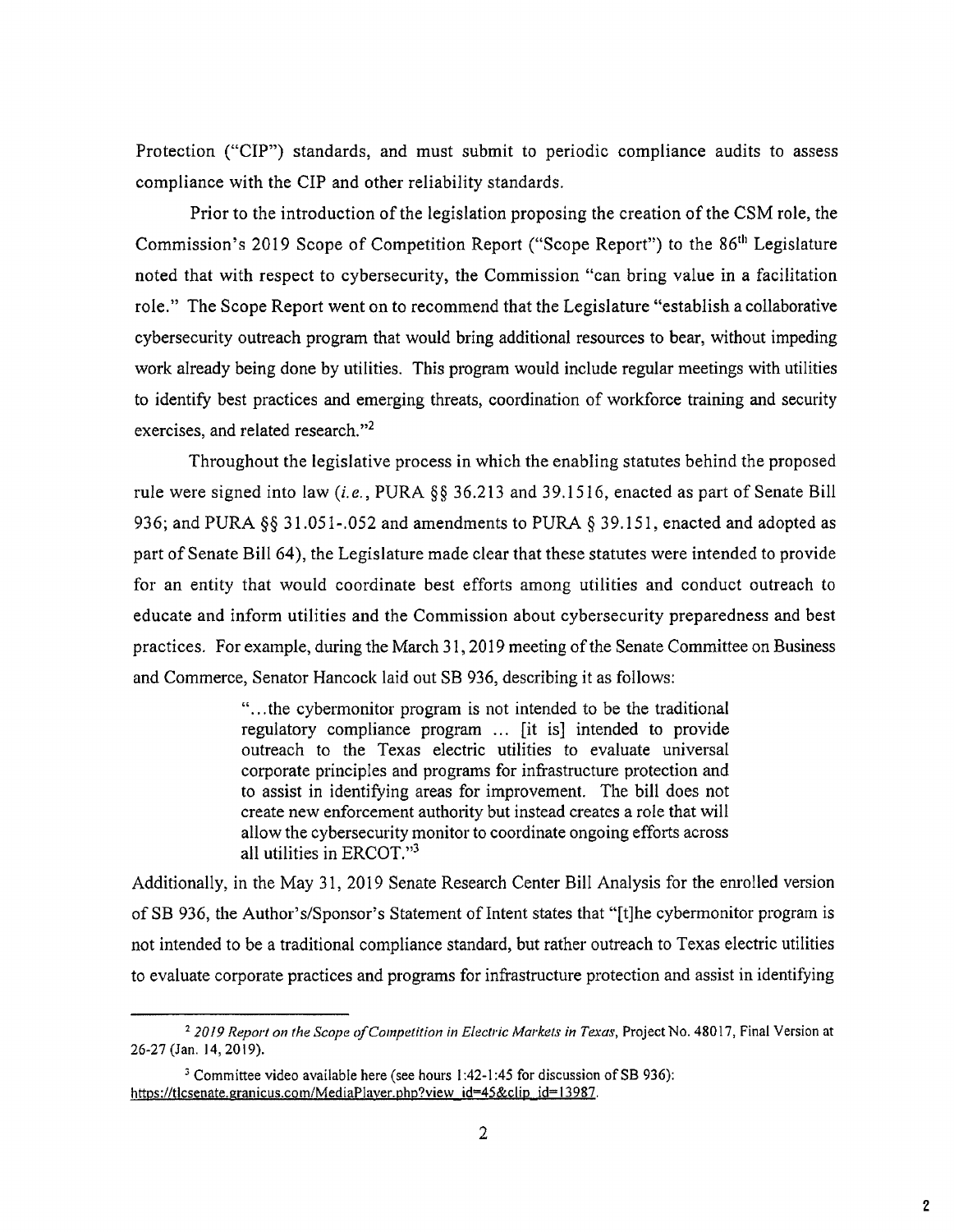Protection ("CIP") standards, and must submit to periodic compliance audits to assess compliance with the CIP and other reliability standards.

Prior to the introduction of the legislation proposing the creation of the CSM role, the Commission's 2019 Scope of Competition Report ("Scope Report") to the 86<sup>th</sup> Legislature noted that with respect to cybersecurity, the Commission "can bring value in a facilitation role." The Scope Report went on to recommend that the Legislature "establish a collaborative cybersecurity outreach program that would bring additional resources to bear, without impeding work already being done by utilities. This program would include regular meetings with utilities to identify best practices and emerging threats, coordination of workforce training and security exercises, and related research."2

Throughout the legislative process in which the enabling statutes behind the proposed rule were signed into law *(i.e.,* PURA §§ 36.213 and 39.1516, enacted as part of Senate Bill 936; and PURA §§ 31.051-.052 and amendments to PURA § 39.151, enacted and adopted as part of Senate Bill 64), the Legislature made clear that these statutes were intended to provide for an entity that would coordinate best efforts among utilities and conduct outreach to educate and inform utilities and the Commission about cybersecurity preparedness and best practices. For example, during the March 31, 2019 meeting of the Senate Committee on Business and Commerce, Senator Hancock laid out SB 936, describing it as follows:

> "...the cybermonitor program is not intended to be the traditional regulatory compliance program ... [it is] intended to provide outreach to the Texas electric utilities to evaluate universal corporate principles and programs for infrastructure protection and to assist in identifying areas for improvement. The bill does not create new enforcement authority but instead creates a role that will allow the cybersecurity monitor to coordinate ongoing efforts across all utilities in ERCOT."3

Additionally, in the May 31, 2019 Senate Research Center Bill Analysis for the enrolled version of SB 936, the Author' s/Sponsor's Statement of Intent states that "[t]he cybermonitor program is not intended to be a traditional compliance standard, but rather outreach to Texas electric utilities to evaluate corporate practices and programs for infrastructure protection and assist in identifying

*<sup>2</sup>2019 Report on the Scope ofCompetition in Electric Markets in Texas,* Project No. 48017, Final Version at 26-27 (Jan. 14, 2019).

Committee video available here (see hours 1:42-1:45 for discussion of SB 936): https://ticsenate.granicus.com/MediaPlayer.php?view\_id=45&clip\_id=13987.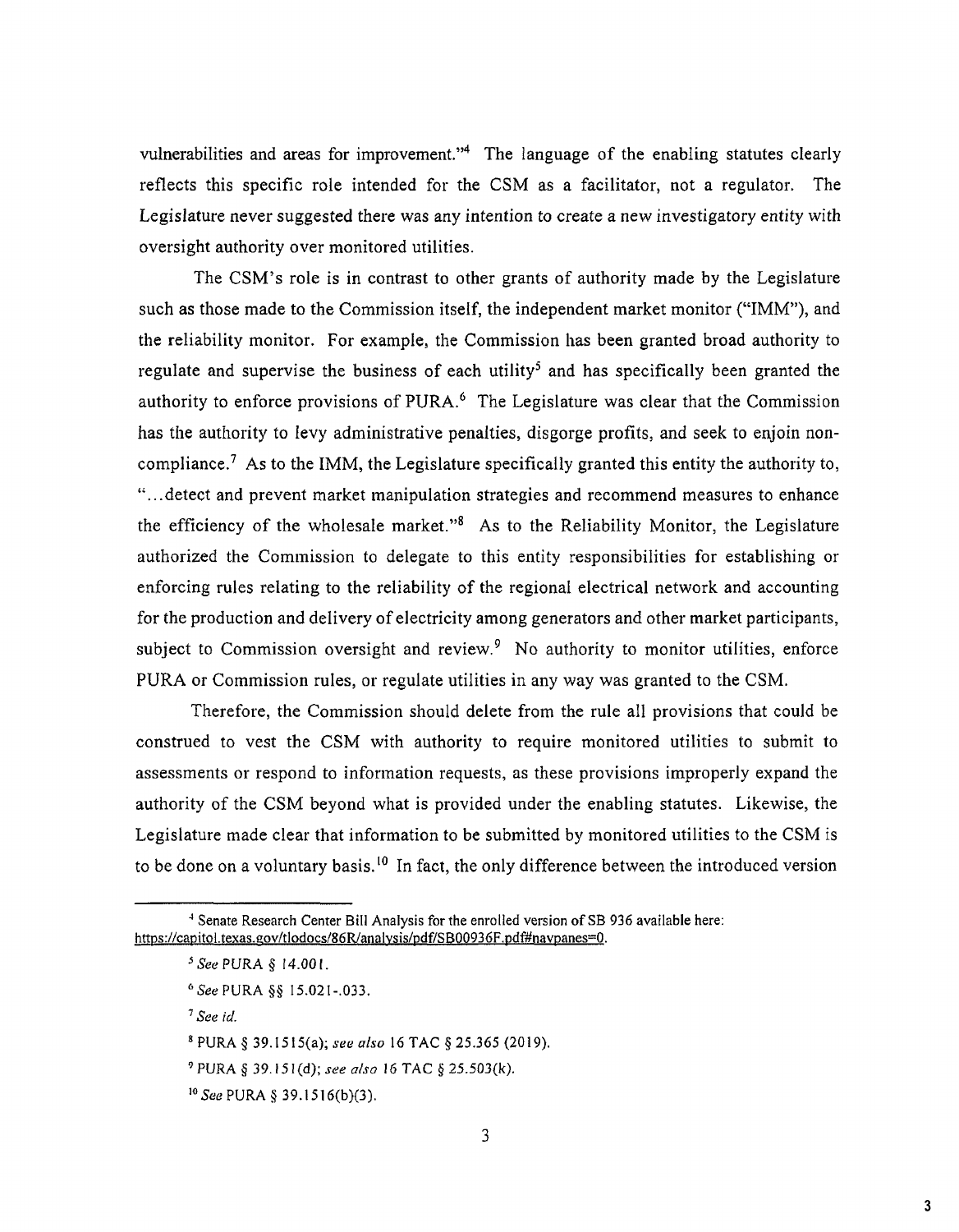vulnerabilities and areas for improvement."<sup>4</sup> The language of the enabling statutes clearly reflects this specific role intended for the CSM as a facilitator, not a regulator. The Legislature never suggested there was any intention to create a new investigatory entity with oversight authority over monitored utilities.

The CSM's role is in contrast to other grants of authority made by the Legislature such as those made to the Commission itself, the independent market monitor ("IMM"), and the reliability monitor. For example, the Commission has been granted broad authority to regulate and supervise the business of each utility<sup>5</sup> and has specifically been granted the authority to enforce provisions of PURA.<sup>6</sup> The Legislature was clear that the Commission has the authority to levy administrative penalties, disgorge profits, and seek to enjoin noncompliance.<sup>7</sup> As to the IMM, the Legislature specifically granted this entity the authority to, "...detect and prevent market manipulation strategies and recommend measures to enhance the efficiency of the wholesale market." $8$  As to the Reliability Monitor, the Legislature authorized the Comrnission to delegate to this entity responsibilities for establishing or enforcing rules relating to the reliability of the regional electrical network and accounting for the production and delivery of electricity among generators and other market participants, subject to Commission oversight and review.<sup>9</sup> No authority to monitor utilities, enforce PURA or Commission rules, or regulate utilities in any way was granted to the CSM.

Therefore, the Commission should delete from the rule all provisions that could be construed to vest the CSM with authority to require monitored utilities to submit to assessments or respond to inforrnation requests, as these provisions improperly expand the authority of the CSM beyond what is provided under the enabling statutes. Likewise, the Legislature made clear that information to be submitted by monitored utilities to the CSM is to be done on a voluntary basis.<sup>10</sup> In fact, the only difference between the introduced version

*See id.* 

<sup>&</sup>lt;sup>4</sup> Senate Research Center Bill Analysis for the enrolled version of SB 936 available here: https://capitol.texas.gov/tlodocs/86R/analysis/pdf/SB00936F.pdf#navpanes=0.

<sup>5</sup> *See* PURA § 14.001.

*See* PURA §§ 15.021-.033.

PURA § 39.1515(a); *see also* 16 TAC § 25.365 (2019).

PURA § 39.15I(d); *see also* 16 TAC § 25.503(k).

*<sup>10</sup> See* PURA § 39.1516(b)(3).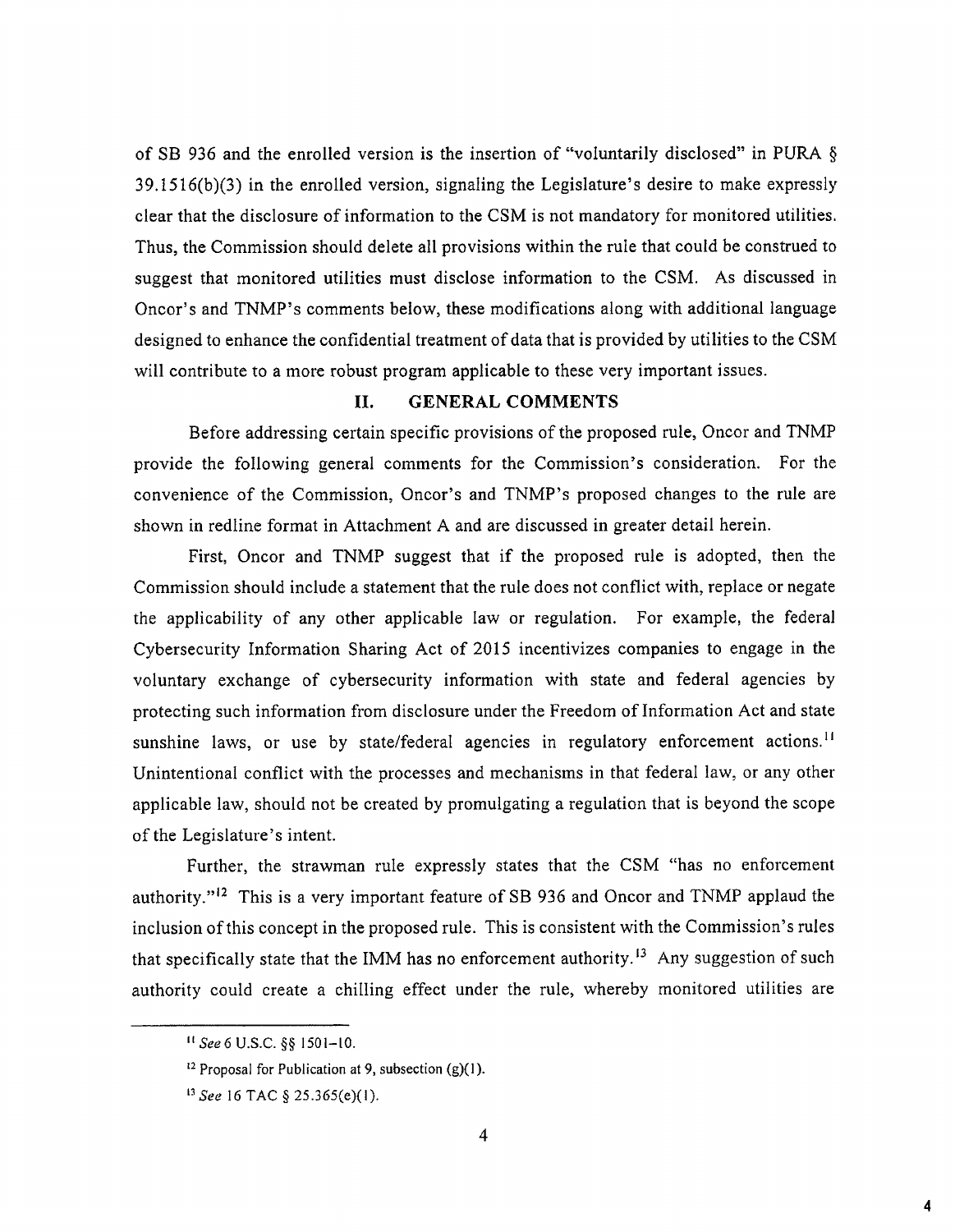of SB 936 and the enrolled version is the insertion of "voluntarily disclosed" in PURA § 39.1516(b)(3) in the enrolled version, signaling the Legislature's desire to make expressly clear that the disclosure of information to the CSM is not mandatory for monitored utilities. Thus, the Commission should delete all provisions within the rule that could be construed to suggest that monitored utilities must disclose information to the CSM. As discussed in Oncor's and TNMP's comments below, these modifications along with additional language designed to enhance the confidential treatment of data that is provided by utilities to the CSM will contribute to a more robust program applicable to these very important issues.

#### H. GENERAL COMMENTS

Before addressing certain specific provisions of the proposed rule, Oncor and TNMP provide the following general comments for the Cornmission's consideration. For the convenience of the Commission, Oncor's and TNMP's proposed changes to the rule are shown in redline format in Attachment A and are discussed in greater detail herein.

First, Oncor and TNMP suggest that if the proposed rule is adopted, then the Commission should include a statement that the rule does not conflict with, replace or negate the applicability of any other applicable law or regulation. For example, the federal Cybersecurity Information Sharing Act of 2015 incentivizes companies to engage in the voluntary exchange of cybersecurity information with state and federal agencies by protecting such information from disclosure under the Freedom of Information Act and state sunshine laws, or use by state/federal agencies in regulatory enforcement actions.<sup>11</sup> Unintentional conflict with the processes and mechanisms in that federal law, or any other applicable law, should not be created by promulgating a regulation that is beyond the scope of the Legislature's intent.

Further, the strawman rule expressly states that the CSM "has no enforcement authority."12 This is a very important feature of SB 936 and Oncor and TNMP applaud the inclusion of this concept in the proposed rule. This is consistent with the Commission's rules that specifically state that the IMM has no enforcement authority.<sup>13</sup> Any suggestion of such authority could create a chilling effect under the rule, whereby monitored utilities are

*It Seed* U.S.C. §§ 1501-10.

<sup>&</sup>lt;sup>12</sup> Proposal for Publication at 9, subsection  $(g)(1)$ .

*<sup>&</sup>quot; See* 16 TAC § 25.365(e)(1).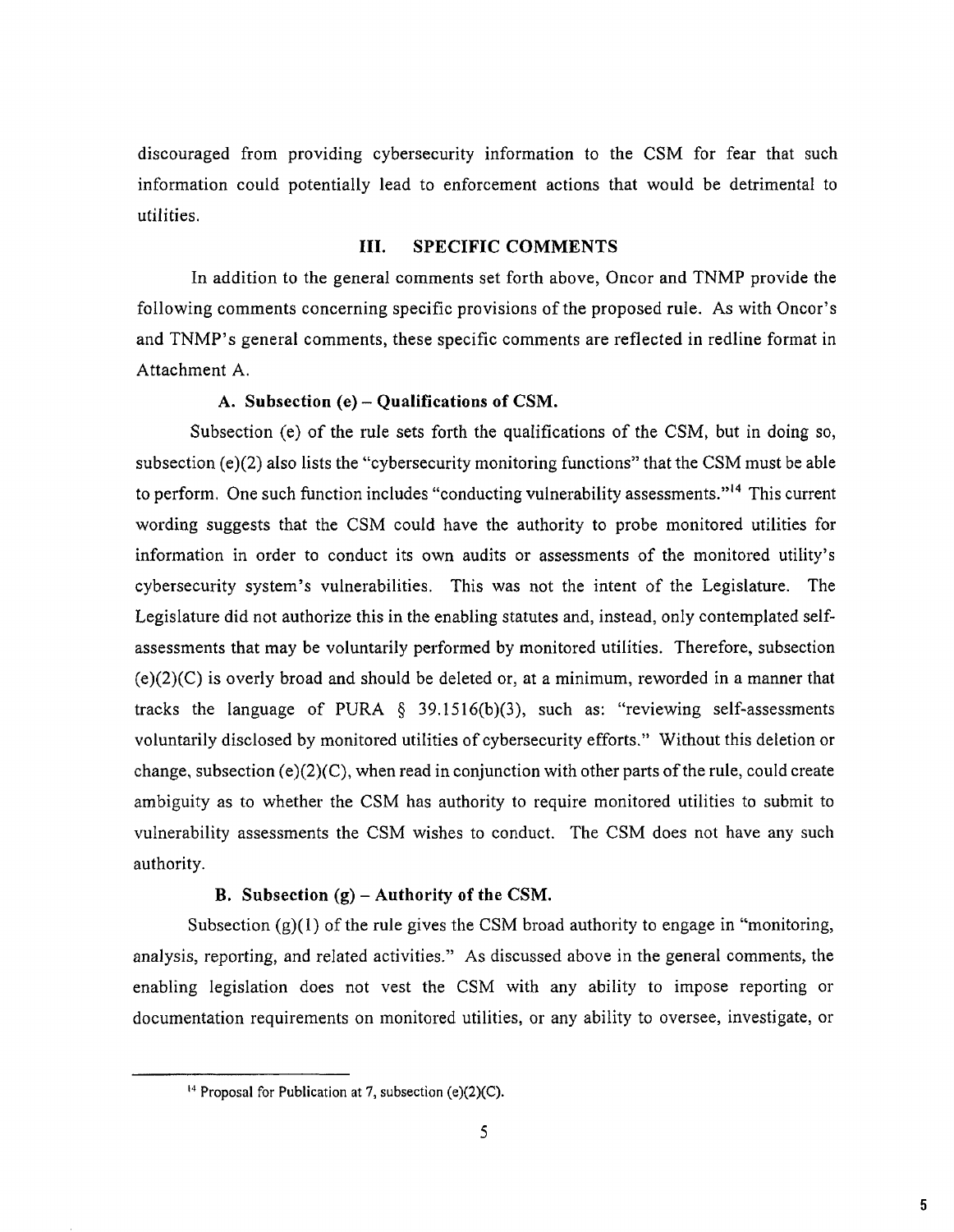discouraged from providing cybersecurity information to the CSM for fear that such information could potentially lead to enforcement actions that would be detrimental to utilities.

## **III. SPECIFIC COMMENTS**

In addition to the general comments set forth above, Oncor and TNMP provide the following comments concerning specific provisions of the proposed rule. As with Oncor's and TNMP's general comments, these specific comments are reflected in redline format in Attachment A.

#### **A. Subsection (e) — Qualifications of CSM.**

Subsection (e) of the rule sets forth the qualifications of the CSM, but in doing so, subsection  $(e)(2)$  also lists the "cybersecurity monitoring functions" that the CSM must be able to perform. One such function includes "conducting vulnerability assessments."<sup>14</sup> This current wording suggests that the CSM could have the authority to probe monitored utilities for information in order to conduct its own audits or assessments of the monitored utility's cybersecurity system's vulnerabilities. This was not the intent of the Legislature. The Legislature did not authorize this in the enabling statutes and, instead, only contemplated selfassessments that may be voluntarily performed by monitored utilities. Therefore, subsection  $(e)(2)(C)$  is overly broad and should be deleted or, at a minimum, reworded in a manner that tracks the language of PURA  $\S$  39.1516(b)(3), such as: "reviewing self-assessments voluntarily disclosed by monitored utilities of cybersecurity efforts." Without this deletion or change, subsection  $(e)(2)(C)$ , when read in conjunction with other parts of the rule, could create ambiguity as to whether the CSM has authority to require monitored utilities to submit to vulnerability assessments the CSM wishes to conduct. The CSM does not have any such authority.

#### **B. Subsection (g) — Authority of the CSM.**

Subsection  $(g)(1)$  of the rule gives the CSM broad authority to engage in "monitoring, analysis, reporting, and related activities." As discussed above in the general comments, the enabling legislation does not vest the CSM with any ability to impose reporting or documentation requirements on monitored utilities, or any ability to oversee, investigate, or

<sup>&</sup>lt;sup>14</sup> Proposal for Publication at 7, subsection (e) $(2)(C)$ .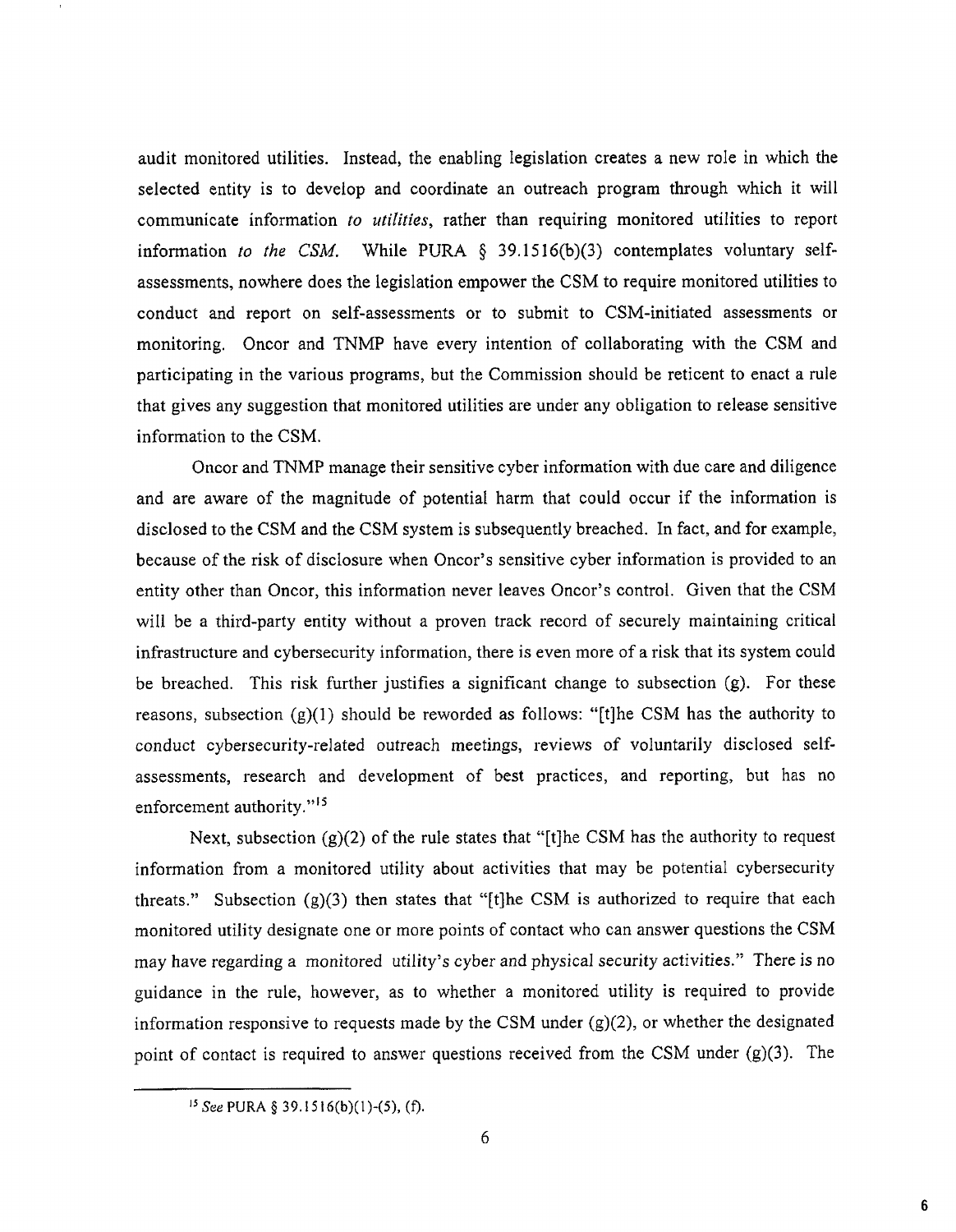audit monitored utilities. Instead, the enabling legislation creates a new role in which the selected entity is to develop and coordinate an outreach program through which it will communicate information *to utilities,* rather than requiring monitored utilities to report information *to the CSM.* While PURA § 39.1516(b)(3) contemplates voluntary selfassessments, nowhere does the legislation empower the CSM to require monitored utilities to conduct and report on self-assessments or to submit to CSM-initiated assessments or monitoring. Oncor and TNMP have every intention of collaborating with the CSM and participating in the various programs, but the Commission should be reticent to enact a rule that gives any suggestion that monitored utilities are under any obligation to release sensitive information to the CSM.

Oncor and TNMP manage their sensitive cyber information with due care and diligence and are aware of the magnitude of potential harm that could occur if the information is disclosed to the CSM and the CSM system is subsequently breached. In fact, and for example, because of the risk of disclosure when Oncor's sensitive cyber information is provided to an entity other than Oncor, this information never leaves Oncor's control. Given that the CSM will be a third-party entity without a proven track record of securely maintaining critical infrastructure and cybersecurity information, there is even more of a risk that its system could be breached. This risk further justifies a significant change to subsection (g). For these reasons, subsection  $(g)(1)$  should be reworded as follows: "[t]he CSM has the authority to conduct cybersecurity-related outreach meetings, reviews of voluntarily disclosed selfassessments, research and development of best practices, and reporting, but has no enforcement authority."15

Next, subsection  $(g)(2)$  of the rule states that "[t]he CSM has the authority to request information from a monitored utility about activities that may be potential cybersecurity threats." Subsection  $(g)(3)$  then states that "[t]he CSM is authorized to require that each monitored utility designate one or more points of contact who can answer questions the CSM may have regarding a monitored utility's cyber and physical security activities." There is no guidance in the rule, however, as to whether a monitored utility is required to provide information responsive to requests made by the CSM under  $(g)(2)$ , or whether the designated point of contact is required to answer questions received from the CSM under (g)(3). The

<sup>15</sup> *See* PURA § 39.15 16(b)(1)-(5), (f).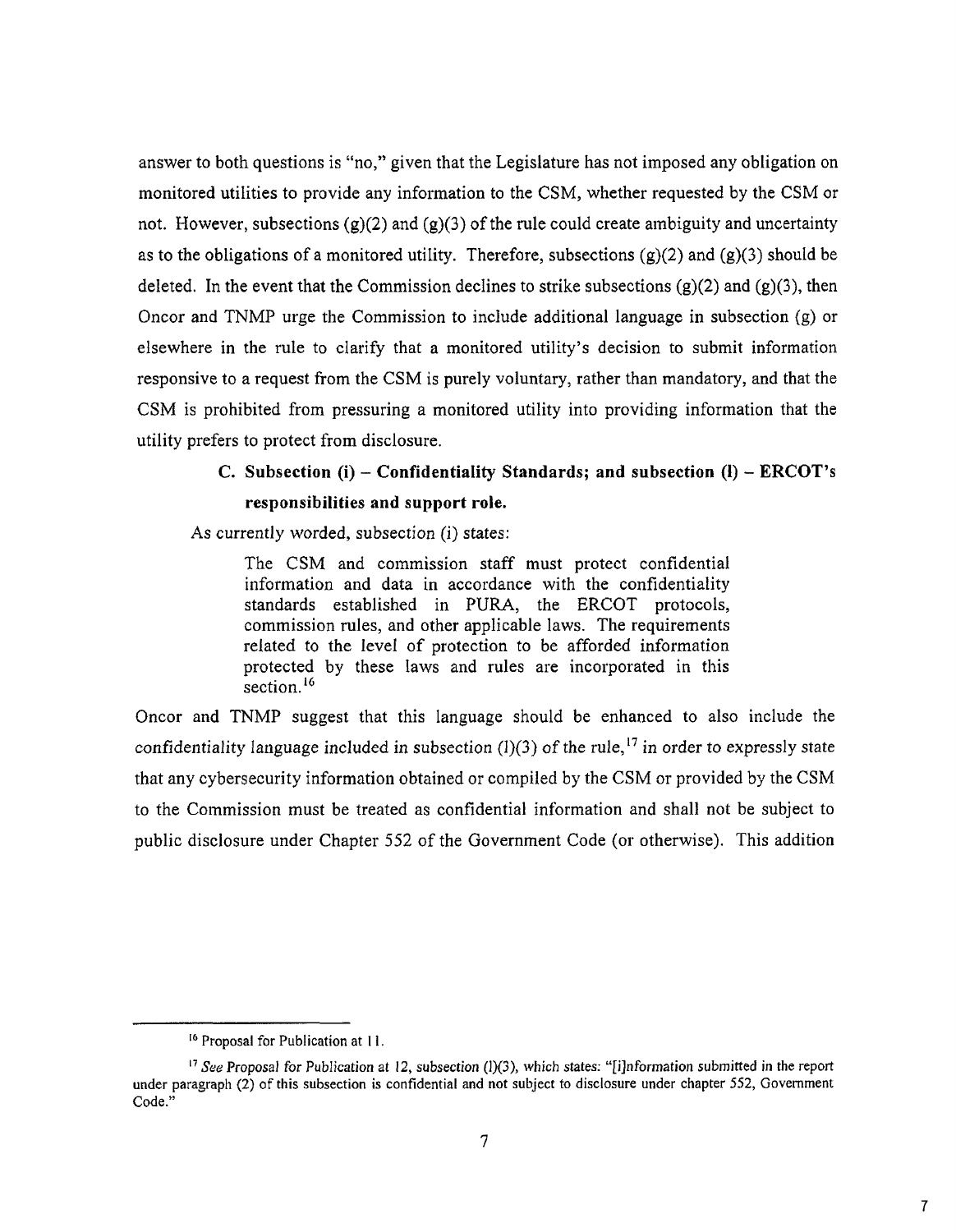answer to both questions is "no," given that the Legislature has not imposed any obligation on monitored utilities to provide any information to the CSM, whether requested by the CSM or not. However, subsections (g)(2) and (g)(3) of the rule could create ambiguity and uncertainty as to the obligations of a monitored utility. Therefore, subsections  $(g)(2)$  and  $(g)(3)$  should be deleted. In the event that the Commission declines to strike subsections  $(g)(2)$  and  $(g)(3)$ , then Oncor and TNMP urge the Commission to include additional language in subsection (g) or elsewhere in the rule to clarify that a monitored utility's decision to submit information responsive to a request from the CSM is purely voluntary, rather than mandatory, and that the CSM is prohibited from pressuring a monitored utility into providing information that the utility prefers to protect from disclosure.

# **C. Subsection (i) — Confidentiality Standards; and subsection (1) — ERCOT's responsibilities and support role.**

As currently worded, subsection (i) states:

The CSM and commission staff must protect confidential information and data in accordance with the confidentiality standards established in PURA, the ERCOT protocols, commission rules, and other applicable laws. The requirements related to the level of protection to be afforded information protected by these laws and rules are incorporated in this section.<sup>16</sup>

Oncor and TNMP suggest that this language should be enhanced to also include the confidentiality language included in subsection  $(1)(3)$  of the rule,<sup>17</sup> in order to expressly state that any cybersecurity information obtained or compiled by the CSM or provided by the CSM to the Commission must be treated as confidential information and shall not be subject to public disclosure under Chapter 552 of the Government Code (or otherwise). This addition

<sup>&</sup>lt;sup>16</sup> Proposal for Publication at 11.

<sup>&</sup>lt;sup>17</sup> See Proposal for Publication at 12, subsection (1)(3), which states: "[i]nformation submitted in the report under paragraph (2) of this subsection is confidential and not subject to disclosure under chapter 552, Government Code."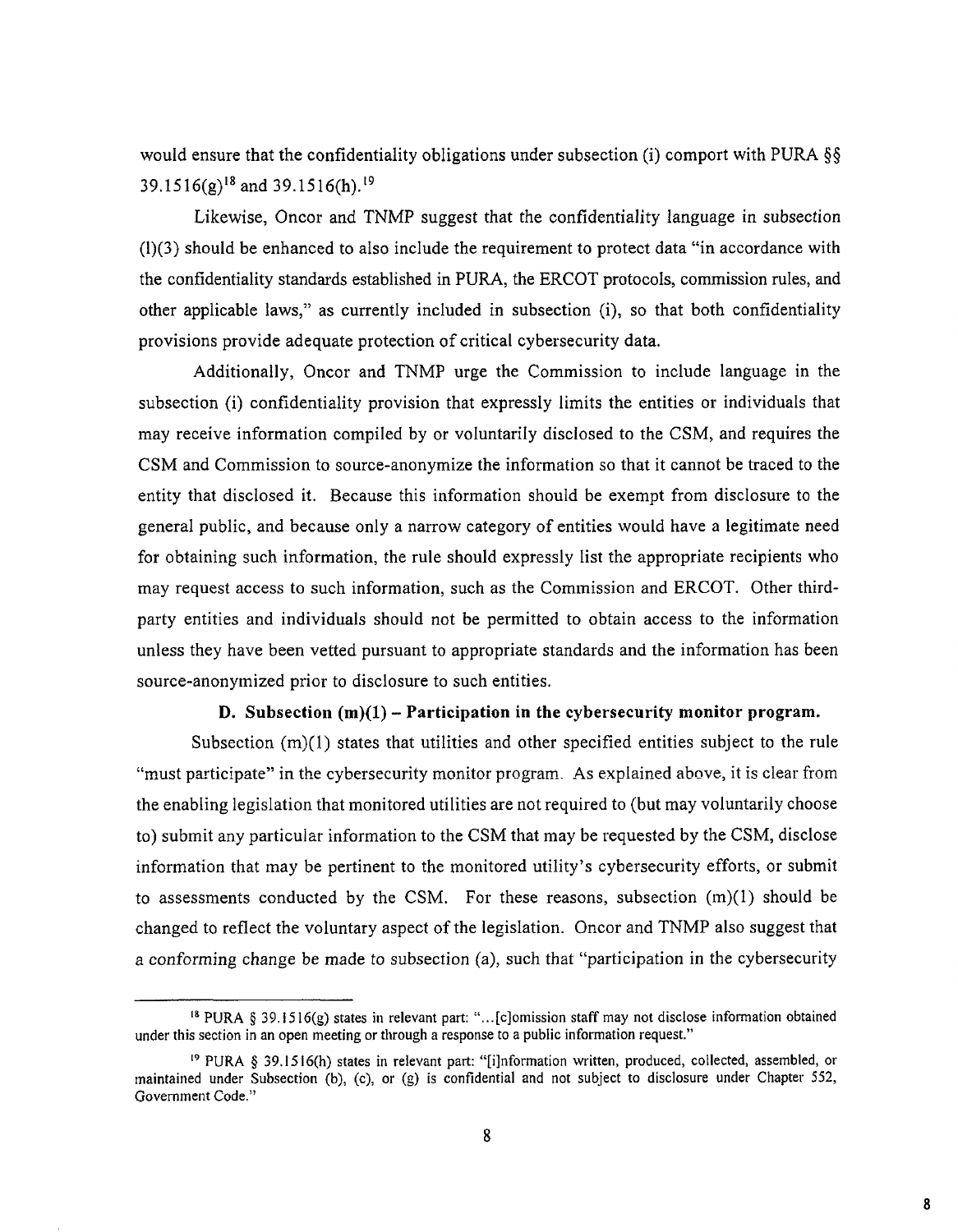would ensure that the confidentiality obligations under subsection (i) comport with PURA §§ 39.1516(g)'8 and 39.1516(h).19

Likewise, Oncor and TNMP suggest that the confidentiality language in subsection (1)(3) should be enhanced to also include the requirement to protect data "in accordance with the confidentiality standards established in PURA, the ERCOT protocols, commission rules, and other applicable laws," as currently included in subsection (i), so that both confidentiality provisions provide adequate protection of critical cybersecurity data.

Additionally, Oncor and TNMP urge the Commission to include language in the subsection (i) confidentiality provision that expressly limits the entities or individuals that may receive information compiled by or voluntarily disclosed to the CSM, and requires the CSM and Commission to source-anonymize the information so that it cannot be traced to the entity that disclosed it. Because this information should be exempt from disclosure to the general public, and because only a narrow category of entities would have a legitimate need for obtaining such information, the rule should expressly list the appropriate recipients who may request access to such information, such as the Commission and ERCOT. Other thirdparty entities and individuals should not be permitted to obtain access to the information unless they have been vetted pursuant to appropriate standards and the information has been source-anonymized prior to disclosure to such entities.

#### **D. Subsection (m)(1) — Participation in the cybersecurity monitor program.**

Subsection  $(m)(1)$  states that utilities and other specified entities subject to the rule "must participate" in the cybersecurity monitor program. As explained above, it is clear from the enabling legislation that monitored utilities are not required to (but may voluntarily choose to) submit any particular information to the CSM that may be requested by the CSM, disclose information that may be pertinent to the monitored utility's cybersecurity efforts, or submit to assessments conducted by the CSM. For these reasons, subsection  $(m)(1)$  should be changed to reflect the voluntary aspect of the legislation. Oncor and TNMP also suggest that a conforming change be made to subsection (a), such that "participation in the cybersecurity

<sup>&</sup>lt;sup>18</sup> PURA § 39.1516(g) states in relevant part: "...[c]omission staff may not disclose information obtained under this section in an open meeting or through a response to a public information request."

<sup>&</sup>lt;sup>19</sup> PURA § 39.1516(h) states in relevant part: "[i]nformation written, produced, collected, assembled, or inaintained under Subsection (b), (c), or (g) is confidential and not subject to disclosure under Chapter 552, Government Code."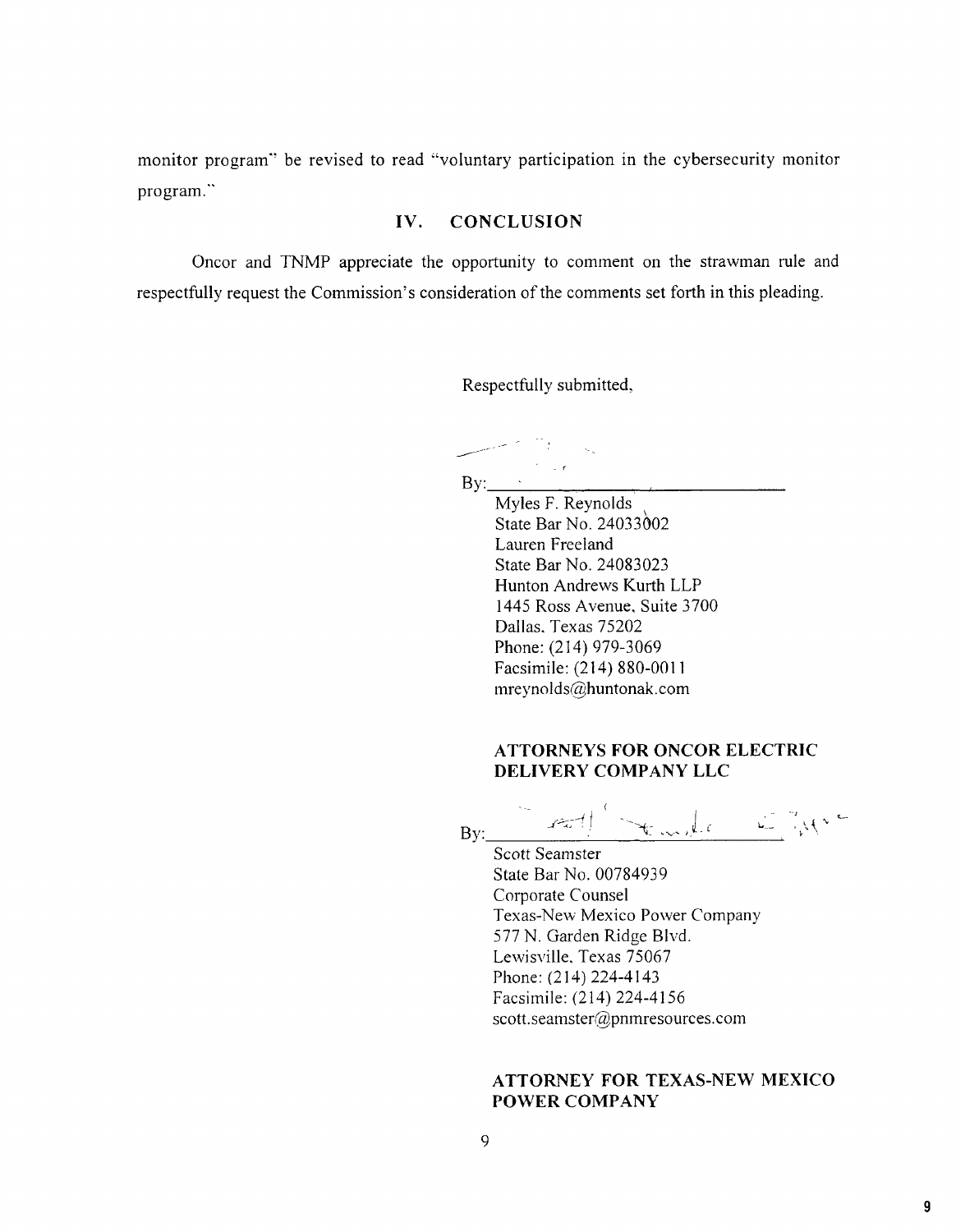monitor program" be revised to read "voluntary participation in the cybersecurity monitor program."

## **IV. CONCLUSION**

Oncor and TNMP appreciate the opportunity to comment on the strawman rule and respectfully request the Commission's consideration of the comments set forth in this pleading.

Respectfully submitted,

 $By:$ 

Myles F. Reynolds State Bar No. 24033002 Lauren Freeland State Bar No. 24083023 Hunton Andrews Kurth LLP 1445 Ross Avenue, Suite 3700 Dallas, Texas 75202 Phone: (214) 979-3069 Facsimile: (214) 880-0011 mreynolds@huntonak.com

## **ATTORNEYS FOR ONCOR ELECTRIC DELIVERY COMPANY LLC**

By:  $\int$  full template  $\mathbb{Z}[\mathcal{M}^{\infty}]$ 

Scott Seamster State Bar No. 00784939 Corporate Counsel Texas-New Mexico Power Company 577 N. Garden Ridge Blvd. Lewisville, Texas 75067 Phone: (214) 224-4143 Facsimile: (214) 224-4156 scott.seamster@pnmresources.com

## **ATTORNEY FOR TEXAS-NEW MEXICO POWER COMPANY**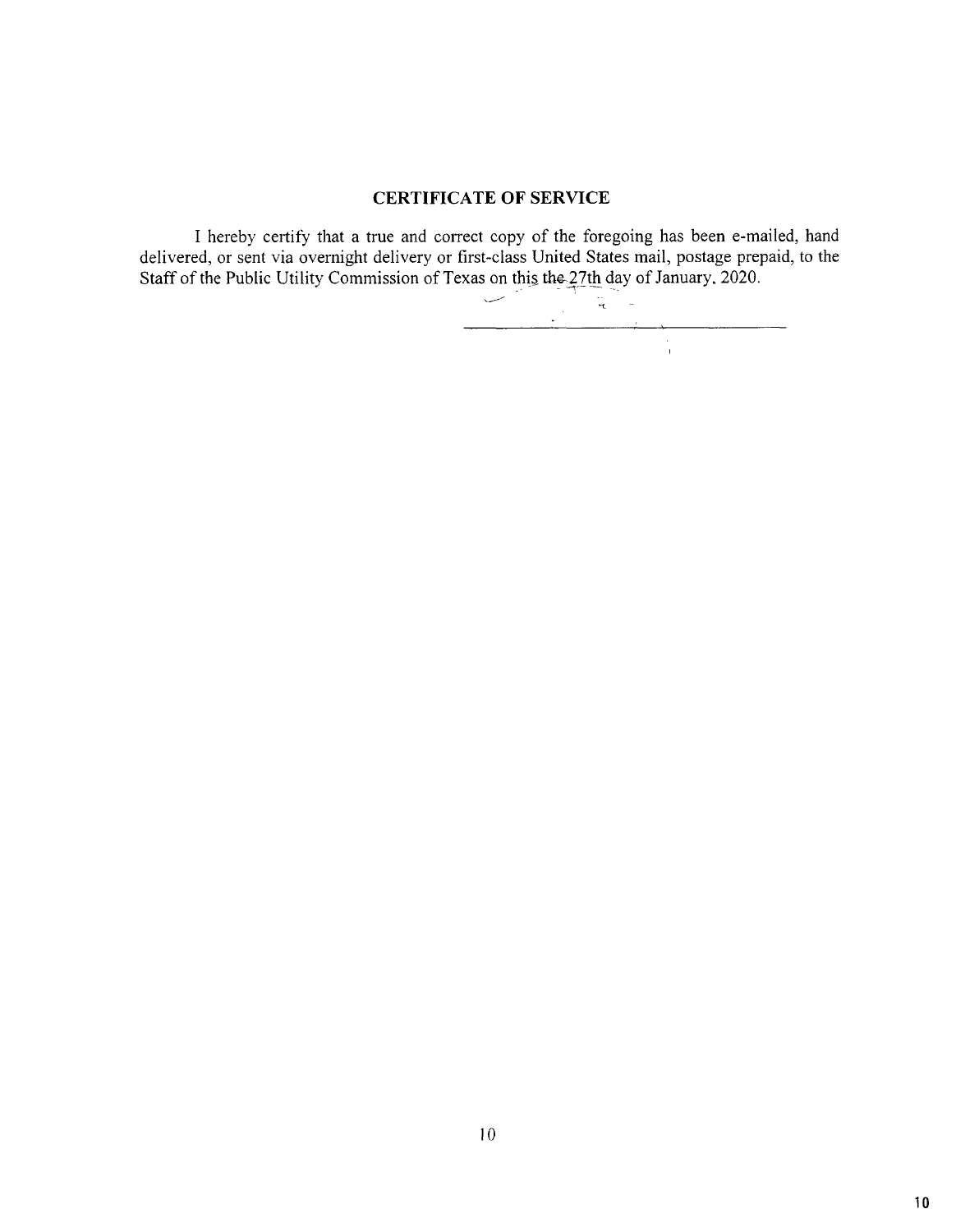## CERTIFICATE OF SERVICE

I hereby certify that a true and correct copy of the foregoing has been e-mailed, hand delivered, or sent via overnight delivery or first-class United States mail, postage prepaid, to the Staff of the Public Utility Commission of Texas on this the 27th day of January, 2020.

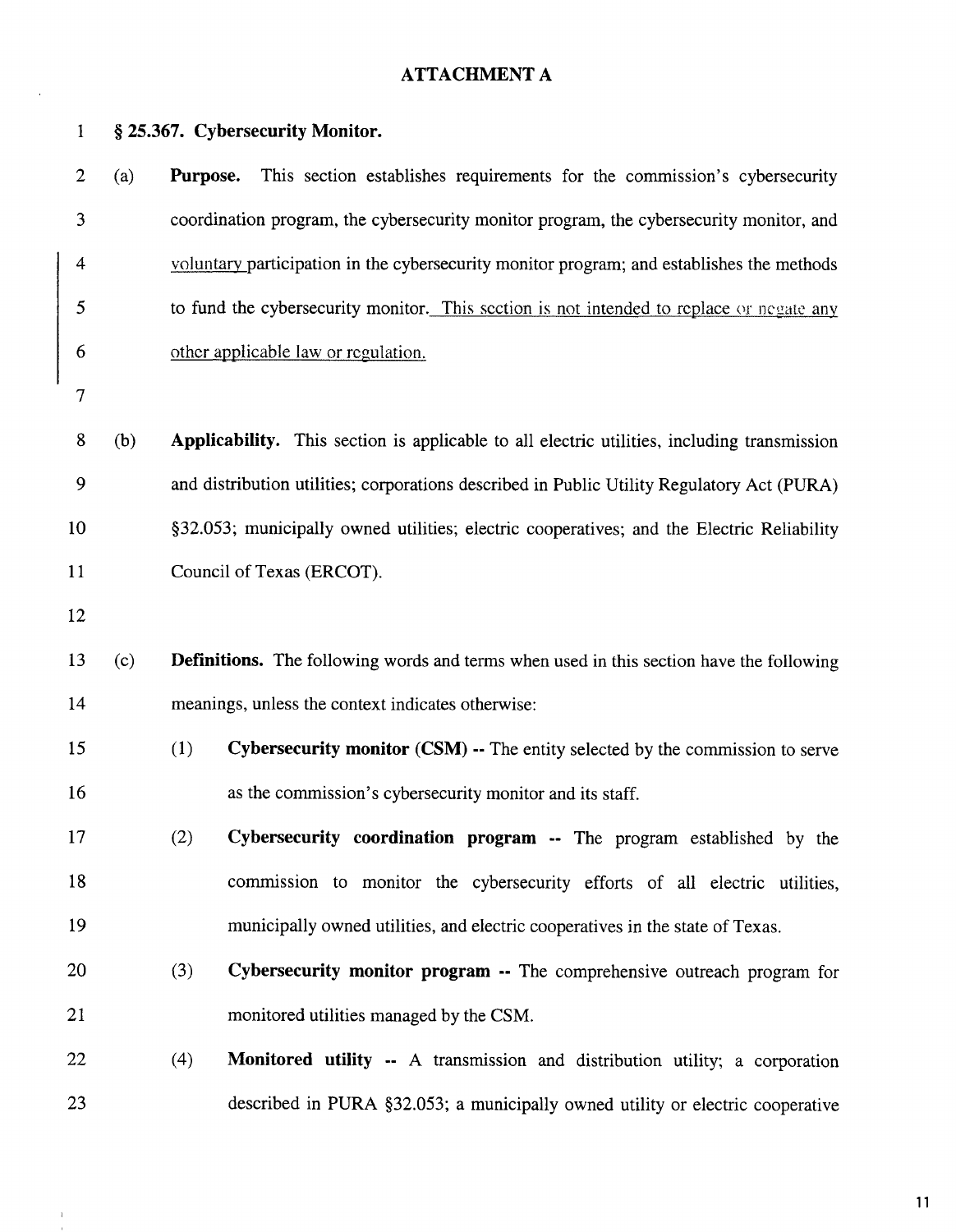# **ATTACHMENT A**

 $\ddot{\phantom{a}}$ 

 $\bar{1}$  $\mathbf{1}$ 

| $\mathbf{1}$   |     | § 25.367. Cybersecurity Monitor.    |                                                                                                |
|----------------|-----|-------------------------------------|------------------------------------------------------------------------------------------------|
| $\overline{2}$ | (a) | Purpose.                            | This section establishes requirements for the commission's cybersecurity                       |
| 3              |     |                                     | coordination program, the cybersecurity monitor program, the cybersecurity monitor, and        |
| 4              |     |                                     | voluntary participation in the cybersecurity monitor program; and establishes the methods      |
| 5              |     |                                     | to fund the cybersecurity monitor. This section is not intended to replace or negate any       |
| 6              |     | other applicable law or regulation. |                                                                                                |
| 7              |     |                                     |                                                                                                |
| 8              | (b) |                                     | Applicability. This section is applicable to all electric utilities, including transmission    |
| 9              |     |                                     | and distribution utilities; corporations described in Public Utility Regulatory Act (PURA)     |
| 10             |     |                                     | §32.053; municipally owned utilities; electric cooperatives; and the Electric Reliability      |
| 11             |     | Council of Texas (ERCOT).           |                                                                                                |
| 12             |     |                                     |                                                                                                |
| 13             | (c) |                                     | <b>Definitions.</b> The following words and terms when used in this section have the following |
| 14             |     |                                     | meanings, unless the context indicates otherwise:                                              |
| 15             |     | (1)                                 | Cybersecurity monitor (CSM) -- The entity selected by the commission to serve                  |
| 16             |     |                                     | as the commission's cybersecurity monitor and its staff.                                       |
| 17             |     | (2)                                 | Cybersecurity coordination program -- The program established by the                           |
| 18             |     |                                     | commission to monitor the cybersecurity efforts of all electric utilities,                     |
| 19             |     |                                     | municipally owned utilities, and electric cooperatives in the state of Texas.                  |
| 20             |     | (3)                                 | Cybersecurity monitor program -- The comprehensive outreach program for                        |
| 21             |     |                                     | monitored utilities managed by the CSM.                                                        |
| 22             |     | (4)                                 | <b>Monitored utility --</b> A transmission and distribution utility; a corporation             |
| 23             |     |                                     | described in PURA §32.053; a municipally owned utility or electric cooperative                 |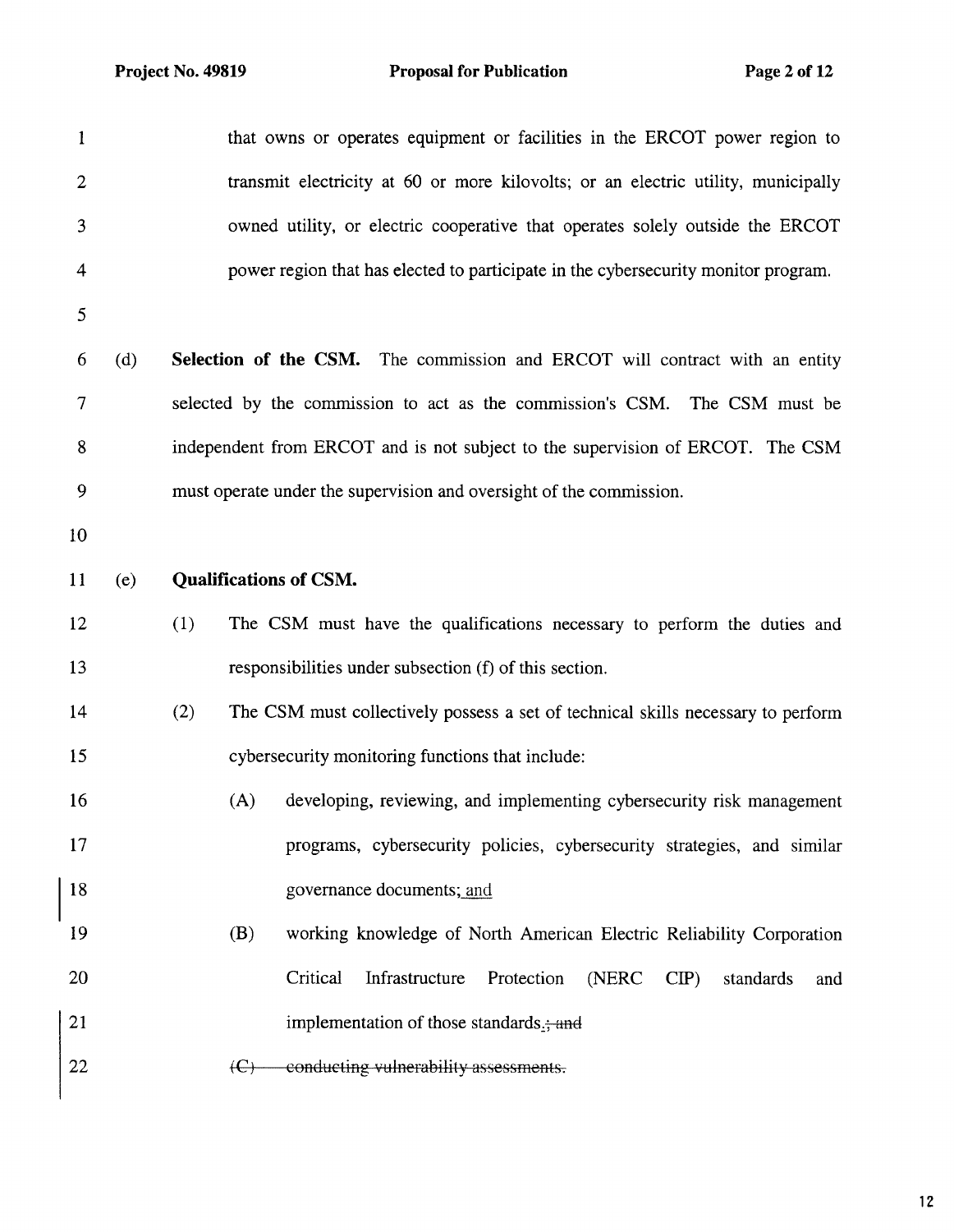| $\mathbf{1}$            |     | that owns or operates equipment or facilities in the ERCOT power region to               |
|-------------------------|-----|------------------------------------------------------------------------------------------|
| $\mathbf{2}$            |     | transmit electricity at 60 or more kilovolts; or an electric utility, municipally        |
| $\overline{\mathbf{3}}$ |     | owned utility, or electric cooperative that operates solely outside the ERCOT            |
| 4                       |     | power region that has elected to participate in the cybersecurity monitor program.       |
| 5                       |     |                                                                                          |
| 6                       | (d) | Selection of the CSM. The commission and ERCOT will contract with an entity              |
| 7                       |     | selected by the commission to act as the commission's CSM. The CSM must be               |
| 8                       |     | independent from ERCOT and is not subject to the supervision of ERCOT. The CSM           |
| 9                       |     | must operate under the supervision and oversight of the commission.                      |
| 10                      |     |                                                                                          |
| 11                      | (e) | <b>Qualifications of CSM.</b>                                                            |
| 12                      |     | The CSM must have the qualifications necessary to perform the duties and<br>(1)          |
| 13                      |     | responsibilities under subsection (f) of this section.                                   |
| 14                      |     | (2)<br>The CSM must collectively possess a set of technical skills necessary to perform  |
| 15                      |     | cybersecurity monitoring functions that include:                                         |
| 16                      |     | developing, reviewing, and implementing cybersecurity risk management<br>(A)             |
| 17                      |     | programs, cybersecurity policies, cybersecurity strategies, and similar                  |
| 18                      |     | governance documents; and                                                                |
| 19                      |     | (B)<br>working knowledge of North American Electric Reliability Corporation              |
| 20                      |     | Critical<br>Infrastructure<br>(NERC<br>Protection<br>$\mathbf{CP}$ )<br>standards<br>and |
| 21                      |     | implementation of those standards.; and                                                  |
| 22                      |     | conducting vulnerability assessments.<br>$\left( C\right)$                               |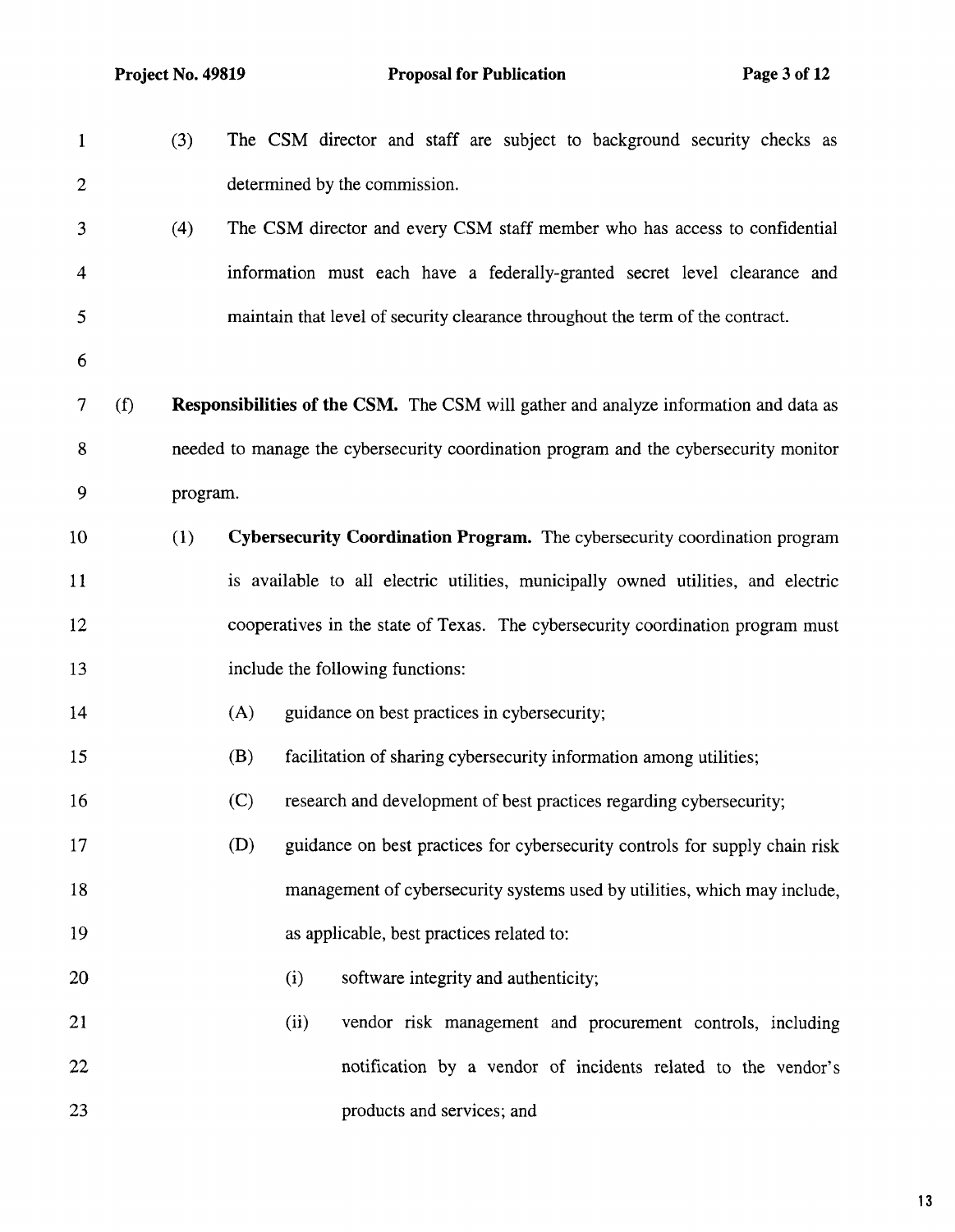| $\mathbf{1}$   |     | (3)      |      | The CSM director and staff are subject to background security checks as                     |                                      |  |                                                               |  |
|----------------|-----|----------|------|---------------------------------------------------------------------------------------------|--------------------------------------|--|---------------------------------------------------------------|--|
| $\overline{2}$ |     |          |      | determined by the commission.                                                               |                                      |  |                                                               |  |
| 3              |     | (4)      |      | The CSM director and every CSM staff member who has access to confidential                  |                                      |  |                                                               |  |
| 4              |     |          |      | information must each have a federally-granted secret level clearance and                   |                                      |  |                                                               |  |
| 5              |     |          |      | maintain that level of security clearance throughout the term of the contract.              |                                      |  |                                                               |  |
| 6              |     |          |      |                                                                                             |                                      |  |                                                               |  |
| 7              | (f) |          |      | <b>Responsibilities of the CSM.</b> The CSM will gather and analyze information and data as |                                      |  |                                                               |  |
| 8              |     |          |      | needed to manage the cybersecurity coordination program and the cybersecurity monitor       |                                      |  |                                                               |  |
| 9              |     | program. |      |                                                                                             |                                      |  |                                                               |  |
| 10             |     | (1)      |      | Cybersecurity Coordination Program. The cybersecurity coordination program                  |                                      |  |                                                               |  |
| 11             |     |          |      | is available to all electric utilities, municipally owned utilities, and electric           |                                      |  |                                                               |  |
| 12             |     |          |      | cooperatives in the state of Texas. The cybersecurity coordination program must             |                                      |  |                                                               |  |
| 13             |     |          |      | include the following functions:                                                            |                                      |  |                                                               |  |
| 14             |     |          | (A)  | guidance on best practices in cybersecurity;                                                |                                      |  |                                                               |  |
| 15             |     |          | (B)  | facilitation of sharing cybersecurity information among utilities;                          |                                      |  |                                                               |  |
| 16             |     |          | (C)  | research and development of best practices regarding cybersecurity;                         |                                      |  |                                                               |  |
| 17             |     |          | (D)  | guidance on best practices for cybersecurity controls for supply chain risk                 |                                      |  |                                                               |  |
| 18             |     |          |      | management of cybersecurity systems used by utilities, which may include,                   |                                      |  |                                                               |  |
| 19             |     |          |      | as applicable, best practices related to:                                                   |                                      |  |                                                               |  |
| 20             |     |          | (i)  |                                                                                             | software integrity and authenticity; |  |                                                               |  |
| 21             |     |          | (ii) |                                                                                             |                                      |  | vendor risk management and procurement controls, including    |  |
| 22             |     |          |      |                                                                                             |                                      |  | notification by a vendor of incidents related to the vendor's |  |
| 23             |     |          |      |                                                                                             | products and services; and           |  |                                                               |  |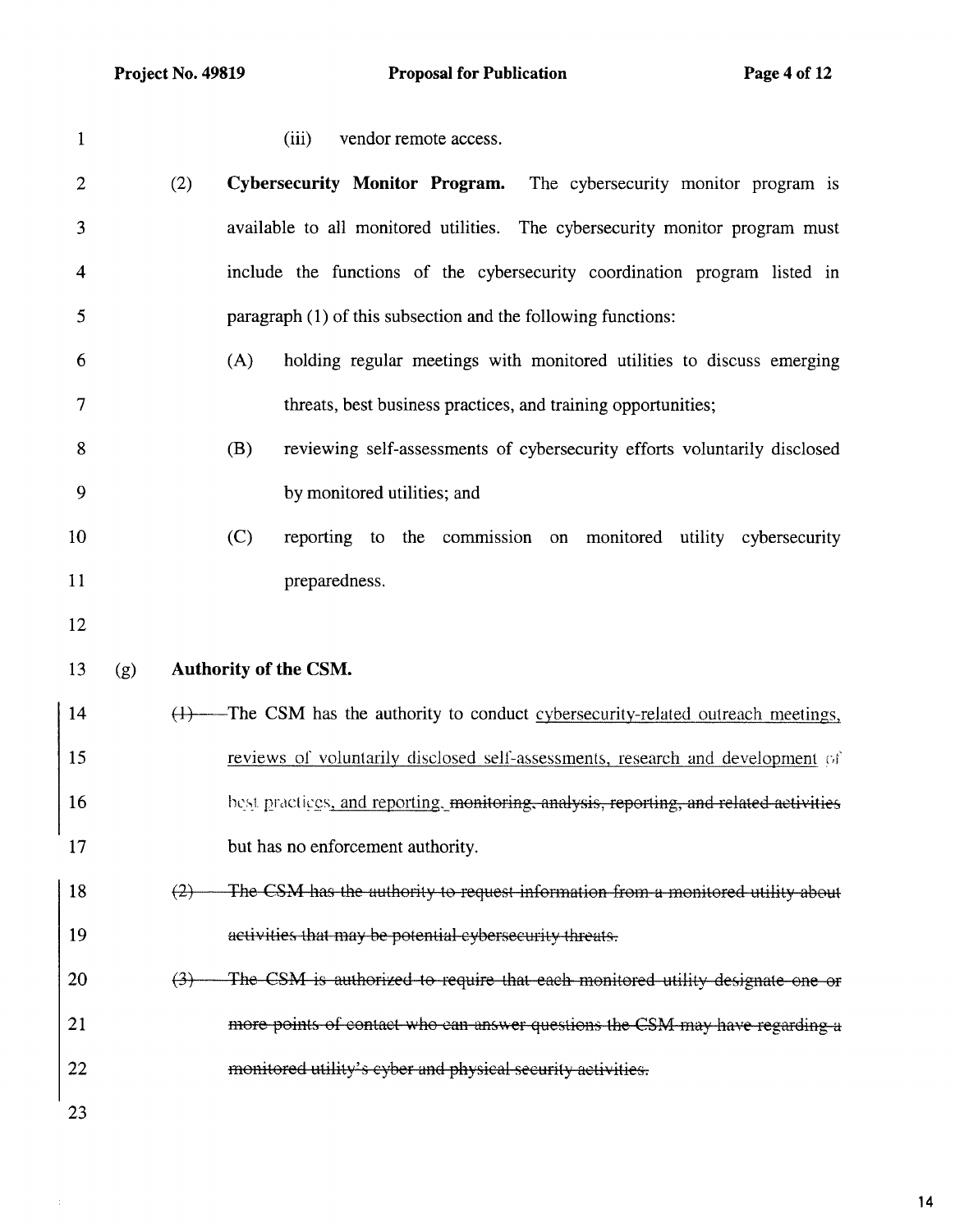|     | vendor remote access.<br>(111)                                             |  |
|-----|----------------------------------------------------------------------------|--|
| (2) | <b>Cybersecurity Monitor Program.</b> The cybersecurity monitor program is |  |
|     |                                                                            |  |

**3 available to all monitored utilities. The cybersecurity monitor program must 4 include the functions of the cybersecurity coordination program listed in 5 paragraph (1) of this subsection and the following functions:** 

- **6 (A) holding regular meetings with monitored utilities to discuss emerging 7 threats, best business practices, and training opportunities;**
- **8 (B) reviewing self-assessments of cybersecurity efforts voluntarily disclosed 9 by monitored utilities; and**
- **10 (C) reporting to the commission on monitored utility cybersecurity 11 preparedness.**
- **12**
- **13 (g) Authority of the CSM.**
- **14 (1) The CSM has the authority to conduct** cybersecurity-related outreach meetings, **15 reviews of voluntarily disclosed self-assessments, research and development** of **16 hest practices, and reporting, monitoring, analysis, reporting, and related activities 17 but has no enforcement authority.**
- **18** (2) The CSM has the authority to request information from a monitored utility about **19** activities that may be potential eybersecurity threats.
- **20** (3) The CSM is authorized to require that each monitored utility designate one or **21**  more points of contact who can answer questions the CSM may have regarding a **22** monitored utility's cyber and physical security activities.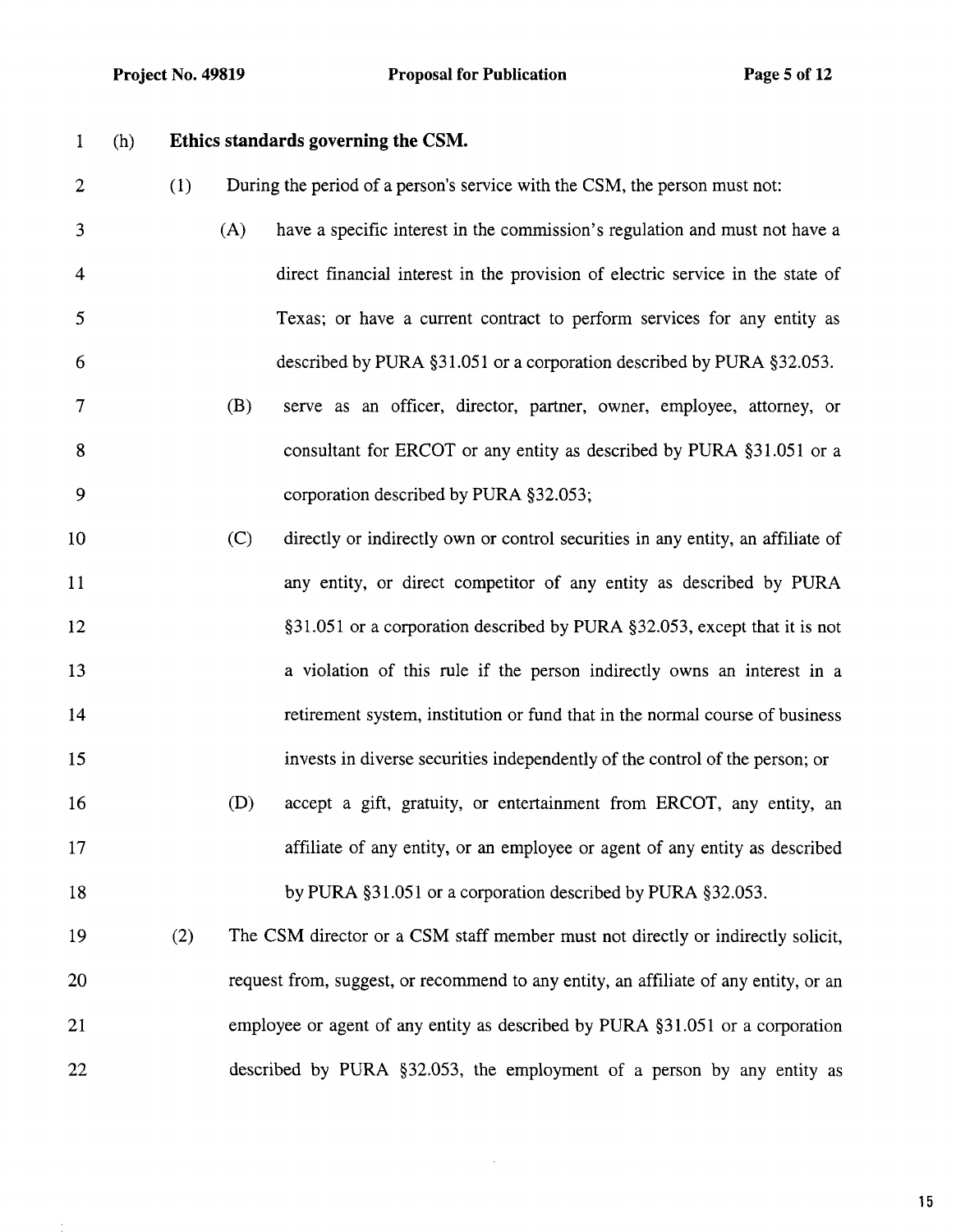# 1 (h) **Ethics standards governing the CSM.**

|  |  |  |  |  | During the period of a person's service with the CSM, the person must not: |
|--|--|--|--|--|----------------------------------------------------------------------------|
|--|--|--|--|--|----------------------------------------------------------------------------|

- 3 (A) have a specific interest in the commission's regulation and must not have a 4 direct financial interest in the provision of electric service in the state of 5 Texas; or have a current contract to perform services for any entity as 6 described by PURA §31.051 or a corporation described by PURA §32.053.
- 7 **(B)** serve as an officer, director, partner, owner, employee, attorney, or 8 consultant for ERCOT or any entity as described by PURA §31.051 or a 9 corporation described by PURA §32.053;
- 10 (C) directly or indirectly own or control securities in any entity, an affiliate of 11 any entity, or direct competitor of any entity as described by PURA 12 §31.051 or a corporation described by PURA §32.053, except that it is not 13 a violation of this rule if the person indirectly owns an interest in a 14 retirement system, institution or fund that in the normal course of business 15 invests in diverse securities independently of the control of the person; or 16 (D) accept a gift, gratuity, or entertainment from ERCOT, any entity, an 17 affiliate of any entity, or an employee or agent of any entity as described 18 by PURA §31.051 or a corporation described by PURA §32.053.
- 19 (2) The CSM director or a CSM staff member must not directly or indirectly solicit, 20 request from, suggest, or recommend to any entity, an affiliate of any entity, or an 21 employee or agent of any entity as described by PURA §31.051 or a corporation 22 described by PURA §32.053, the employment of a person by any entity as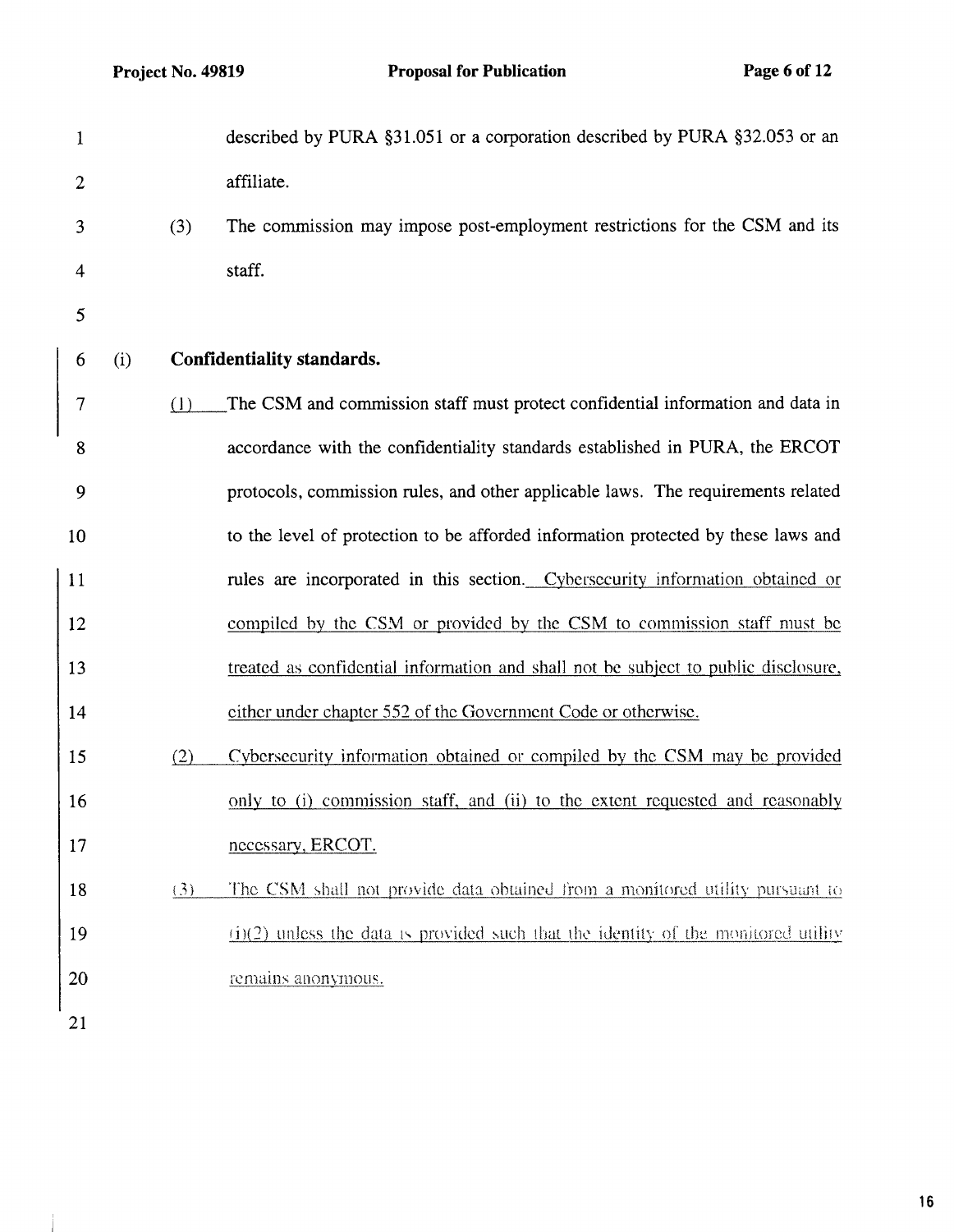$\mathbf{I}$ 

| $\mathbf{1}$   |     |     | described by PURA §31.051 or a corporation described by PURA §32.053 or an           |
|----------------|-----|-----|--------------------------------------------------------------------------------------|
| $\overline{2}$ |     |     | affiliate.                                                                           |
| 3              |     | (3) | The commission may impose post-employment restrictions for the CSM and its           |
| 4              |     |     | staff.                                                                               |
| 5              |     |     |                                                                                      |
| 6              | (i) |     | Confidentiality standards.                                                           |
| $\overline{7}$ |     | (1) | The CSM and commission staff must protect confidential information and data in       |
| 8              |     |     | accordance with the confidentiality standards established in PURA, the ERCOT         |
| 9              |     |     | protocols, commission rules, and other applicable laws. The requirements related     |
| 10             |     |     | to the level of protection to be afforded information protected by these laws and    |
| 11             |     |     | rules are incorporated in this section. Cybersecurity information obtained or        |
| 12             |     |     | compiled by the CSM or provided by the CSM to commission staff must be               |
| 13             |     |     | treated as confidential information and shall not be subject to public disclosure,   |
| 14             |     |     | either under chapter 552 of the Government Code or otherwise.                        |
| 15             |     | (2) | Cybersecurity information obtained or compiled by the CSM may be provided            |
| 16             |     |     | only to (i) commission staff, and (ii) to the extent requested and reasonably        |
| 17             |     |     | necessary, ERCOT.                                                                    |
| 18             |     | (3) | The CSM shall not provide data obtained from a monitored utility pursuant to         |
| 19             |     |     | $(i)(2)$ unless the data is provided such that the identity of the monitored utility |
| 20             |     |     | remains anonymous.                                                                   |
| 21             |     |     |                                                                                      |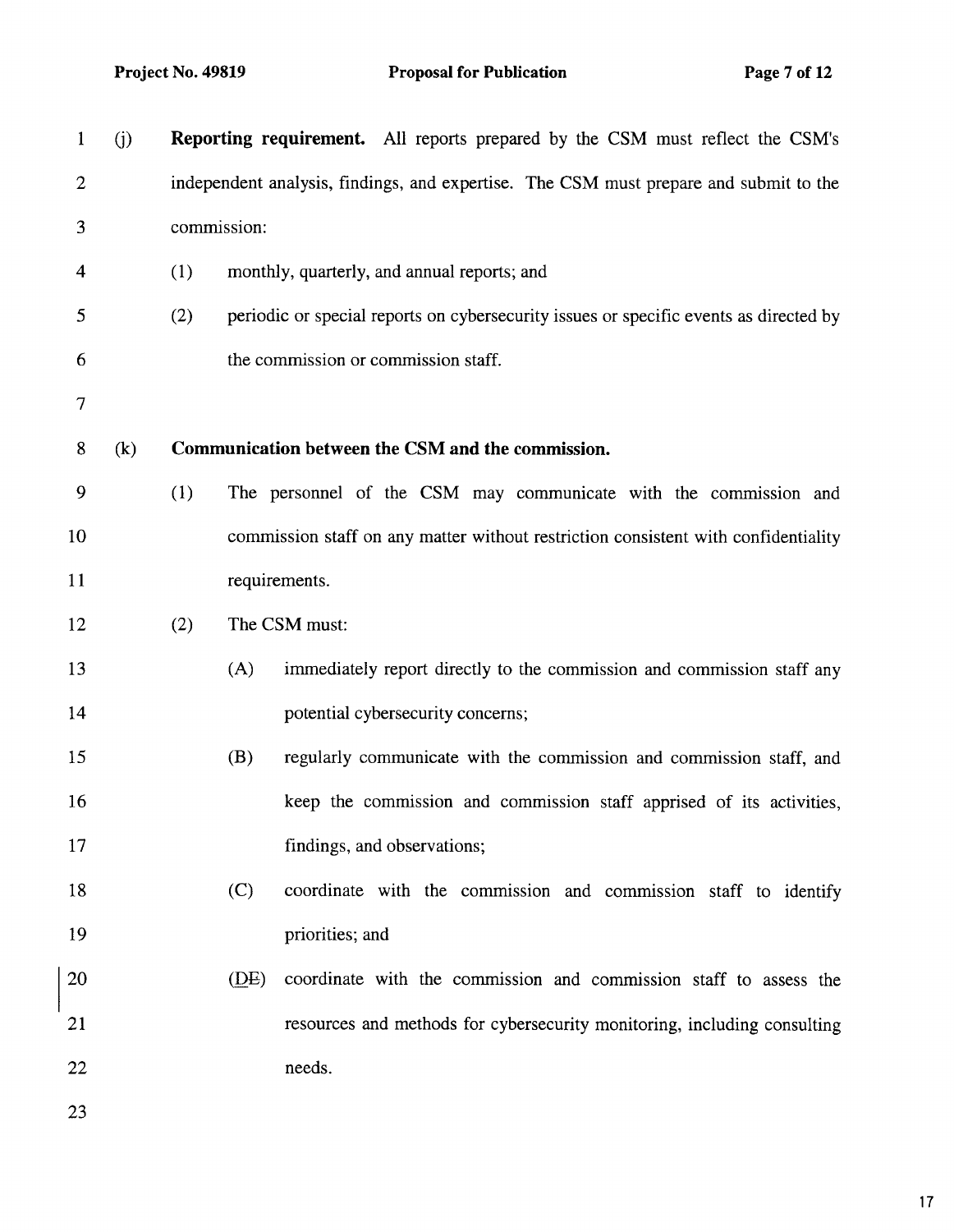| $\mathbf{1}$            | (j) |     |                                                                                       | <b>Reporting requirement.</b> All reports prepared by the CSM must reflect the CSM's  |  |  |  |  |  |  |  |
|-------------------------|-----|-----|---------------------------------------------------------------------------------------|---------------------------------------------------------------------------------------|--|--|--|--|--|--|--|
| $\overline{2}$          |     |     | independent analysis, findings, and expertise. The CSM must prepare and submit to the |                                                                                       |  |  |  |  |  |  |  |
| 3                       |     |     | commission:                                                                           |                                                                                       |  |  |  |  |  |  |  |
| $\overline{\mathbf{4}}$ |     | (1) |                                                                                       | monthly, quarterly, and annual reports; and                                           |  |  |  |  |  |  |  |
| 5                       |     | (2) |                                                                                       | periodic or special reports on cybersecurity issues or specific events as directed by |  |  |  |  |  |  |  |
| 6                       |     |     |                                                                                       | the commission or commission staff.                                                   |  |  |  |  |  |  |  |
| $\overline{7}$          |     |     |                                                                                       |                                                                                       |  |  |  |  |  |  |  |
| 8                       | (k) |     |                                                                                       | Communication between the CSM and the commission.                                     |  |  |  |  |  |  |  |
| 9                       |     | (1) |                                                                                       | The personnel of the CSM may communicate with the commission and                      |  |  |  |  |  |  |  |
| 10                      |     |     |                                                                                       | commission staff on any matter without restriction consistent with confidentiality    |  |  |  |  |  |  |  |
| 11                      |     |     | requirements.                                                                         |                                                                                       |  |  |  |  |  |  |  |
| 12                      |     | (2) |                                                                                       | The CSM must:                                                                         |  |  |  |  |  |  |  |
| 13                      |     |     | (A)                                                                                   | immediately report directly to the commission and commission staff any                |  |  |  |  |  |  |  |
| 14                      |     |     |                                                                                       | potential cybersecurity concerns;                                                     |  |  |  |  |  |  |  |
| 15                      |     |     | (B)                                                                                   | regularly communicate with the commission and commission staff, and                   |  |  |  |  |  |  |  |
| 16                      |     |     |                                                                                       | keep the commission and commission staff apprised of its activities,                  |  |  |  |  |  |  |  |
| 17                      |     |     |                                                                                       | findings, and observations;                                                           |  |  |  |  |  |  |  |
| 18                      |     |     | (C)                                                                                   | coordinate with the commission and commission staff to identify                       |  |  |  |  |  |  |  |
| 19                      |     |     |                                                                                       | priorities; and                                                                       |  |  |  |  |  |  |  |
| 20                      |     |     | (DE)                                                                                  | coordinate with the commission and commission staff to assess the                     |  |  |  |  |  |  |  |
| 21                      |     |     |                                                                                       | resources and methods for cybersecurity monitoring, including consulting              |  |  |  |  |  |  |  |
| 22                      |     |     |                                                                                       | needs.                                                                                |  |  |  |  |  |  |  |
| 23                      |     |     |                                                                                       |                                                                                       |  |  |  |  |  |  |  |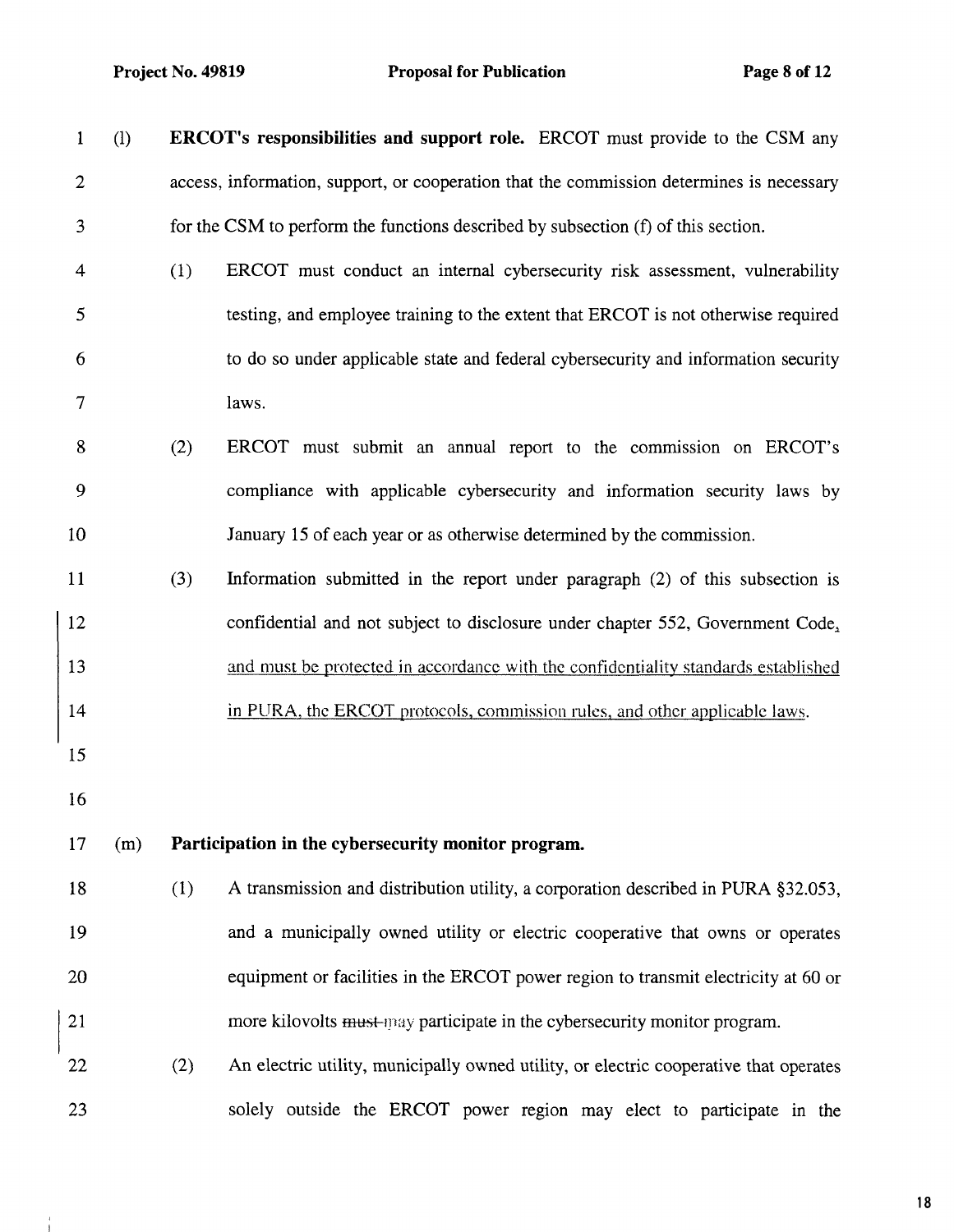$\frac{1}{1}$ 

| $\mathbf{1}$   | $\left($ l |     | <b>ERCOT's responsibilities and support role.</b> ERCOT must provide to the CSM any      |
|----------------|------------|-----|------------------------------------------------------------------------------------------|
| $\overline{2}$ |            |     | access, information, support, or cooperation that the commission determines is necessary |
| 3              |            |     | for the CSM to perform the functions described by subsection (f) of this section.        |
| 4              |            | (1) | ERCOT must conduct an internal cybersecurity risk assessment, vulnerability              |
| 5              |            |     | testing, and employee training to the extent that ERCOT is not otherwise required        |
| 6              |            |     | to do so under applicable state and federal cybersecurity and information security       |
| 7              |            |     | laws.                                                                                    |
| $\bf 8$        |            | (2) | ERCOT must submit an annual report to the commission on ERCOT's                          |
| 9              |            |     | compliance with applicable cybersecurity and information security laws by                |
| 10             |            |     | January 15 of each year or as otherwise determined by the commission.                    |
| 11             |            | (3) | Information submitted in the report under paragraph (2) of this subsection is            |
| 12             |            |     | confidential and not subject to disclosure under chapter 552, Government Code,           |
| 13             |            |     | and must be protected in accordance with the confidentiality standards established       |
| 14             |            |     | in PURA, the ERCOT protocols, commission rules, and other applicable laws.               |
| 15             |            |     |                                                                                          |
| 16             |            |     |                                                                                          |
| 17             | (m)        |     | Participation in the cybersecurity monitor program.                                      |
| 18             |            | (1) | A transmission and distribution utility, a corporation described in PURA §32.053,        |
| 19             |            |     | and a municipally owned utility or electric cooperative that owns or operates            |
| 20             |            |     | equipment or facilities in the ERCOT power region to transmit electricity at 60 or       |
| 21             |            |     | more kilovolts must-may participate in the cybersecurity monitor program.                |
| 22             |            | (2) | An electric utility, municipally owned utility, or electric cooperative that operates    |
| 23             |            |     | solely outside the ERCOT power region may elect to participate in the                    |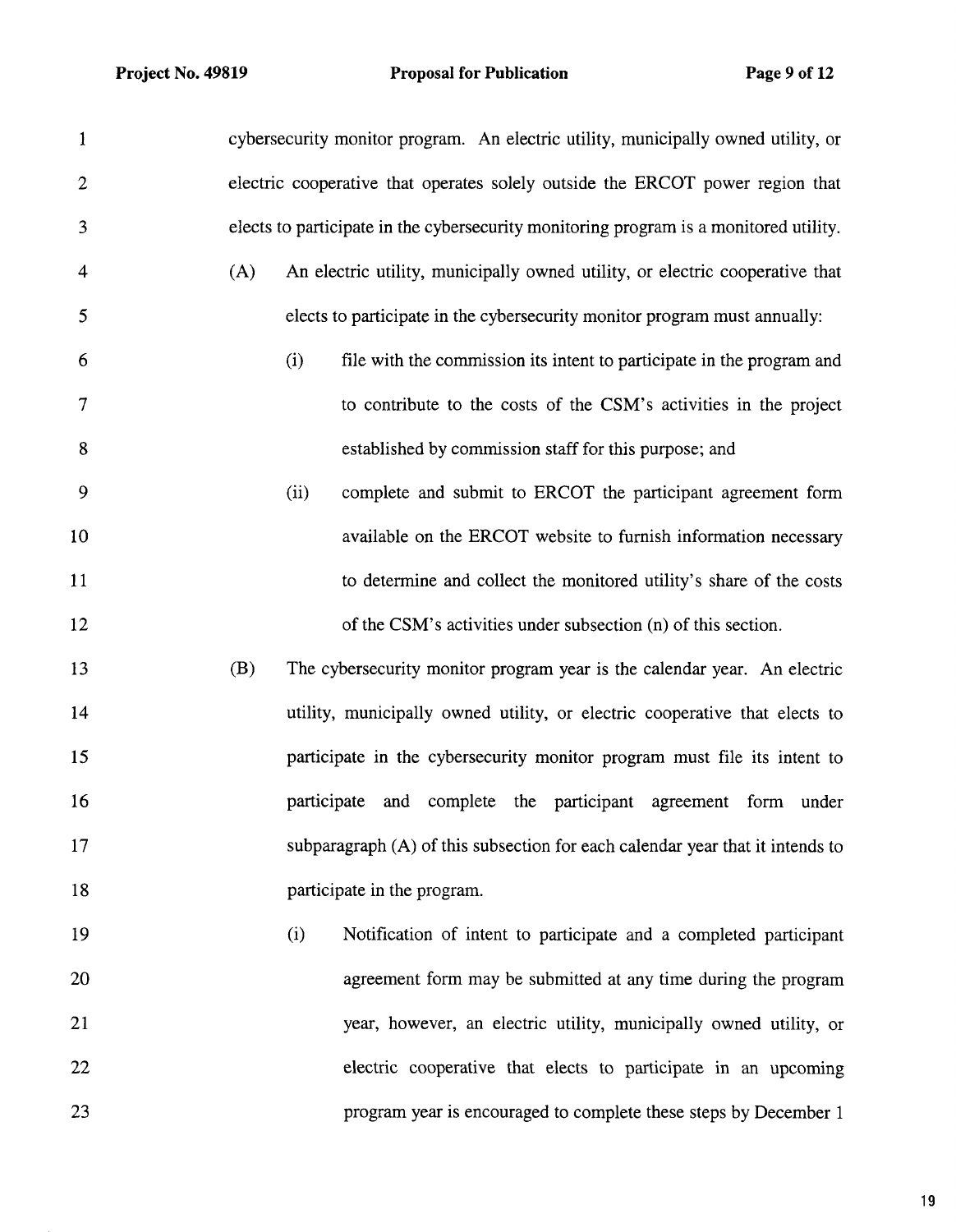| $\mathbf{1}$ |     |             | cybersecurity monitor program. An electric utility, municipally owned utility, or     |
|--------------|-----|-------------|---------------------------------------------------------------------------------------|
| $\mathbf{2}$ |     |             | electric cooperative that operates solely outside the ERCOT power region that         |
| 3            |     |             | elects to participate in the cybersecurity monitoring program is a monitored utility. |
| 4            | (A) |             | An electric utility, municipally owned utility, or electric cooperative that          |
| 5            |     |             | elects to participate in the cybersecurity monitor program must annually:             |
| 6            |     | (i)         | file with the commission its intent to participate in the program and                 |
| 7            |     |             | to contribute to the costs of the CSM's activities in the project                     |
| 8            |     |             | established by commission staff for this purpose; and                                 |
| 9            |     | (ii)        | complete and submit to ERCOT the participant agreement form                           |
| 10           |     |             | available on the ERCOT website to furnish information necessary                       |
| 11           |     |             | to determine and collect the monitored utility's share of the costs                   |
| 12           |     |             | of the CSM's activities under subsection (n) of this section.                         |
| 13           | (B) |             | The cybersecurity monitor program year is the calendar year. An electric              |
| 14           |     |             | utility, municipally owned utility, or electric cooperative that elects to            |
| 15           |     |             | participate in the cybersecurity monitor program must file its intent to              |
| 16           |     | participate | and complete the participant agreement form under                                     |
| 17           |     |             | subparagraph (A) of this subsection for each calendar year that it intends to         |
| 18           |     |             | participate in the program.                                                           |
| 19           |     | (i)         | Notification of intent to participate and a completed participant                     |
| 20           |     |             | agreement form may be submitted at any time during the program                        |
| 21           |     |             | year, however, an electric utility, municipally owned utility, or                     |
| 22           |     |             | electric cooperative that elects to participate in an upcoming                        |
| 23           |     |             | program year is encouraged to complete these steps by December 1                      |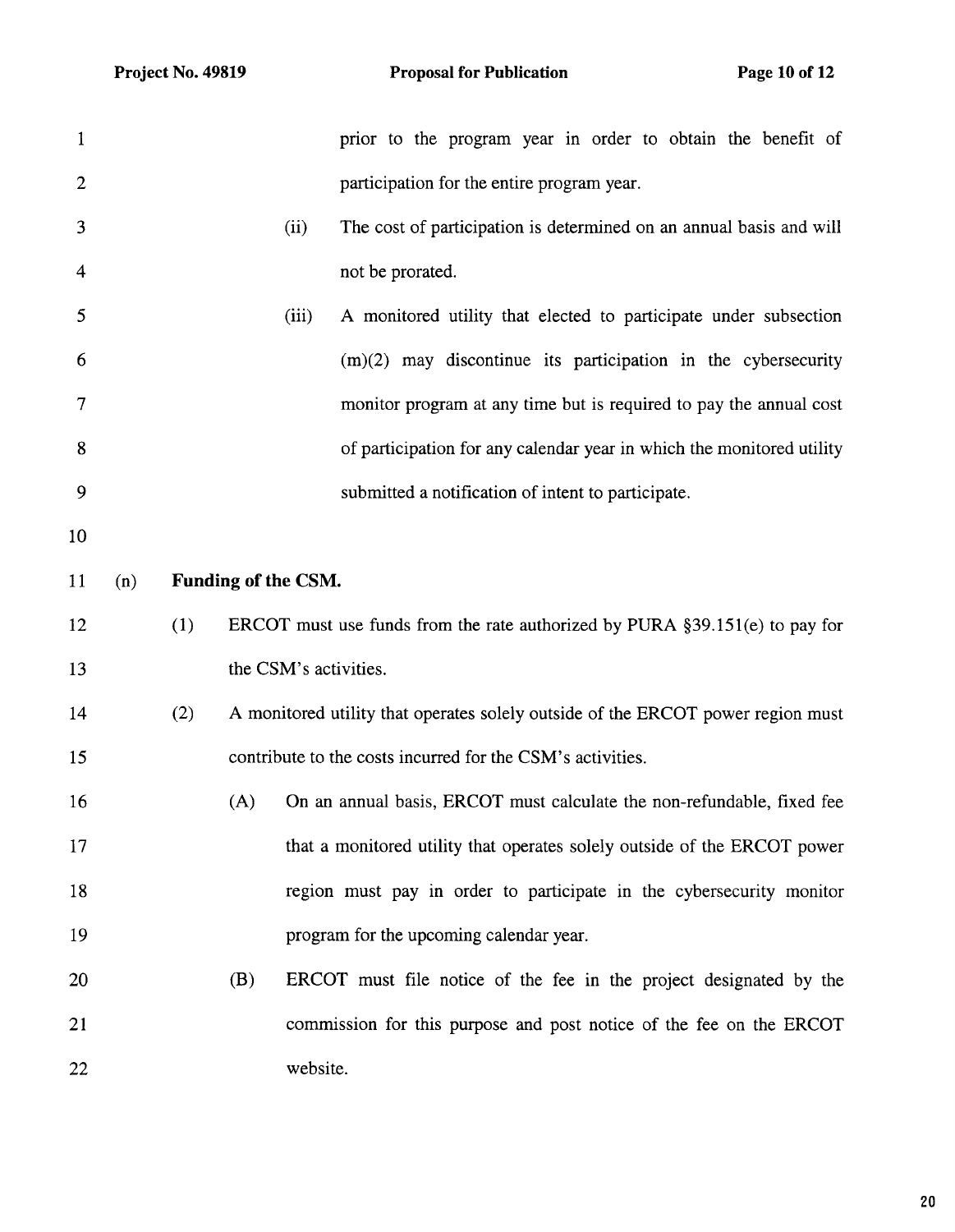| $\mathbf{1}$   |     |     |                       |          | prior to the program year in order to obtain the benefit of                     |
|----------------|-----|-----|-----------------------|----------|---------------------------------------------------------------------------------|
| $\overline{2}$ |     |     |                       |          | participation for the entire program year.                                      |
| 3              |     |     |                       | (ii)     | The cost of participation is determined on an annual basis and will             |
| 4              |     |     |                       |          | not be prorated.                                                                |
| 5              |     |     |                       | (iii)    | A monitored utility that elected to participate under subsection                |
| 6              |     |     |                       |          | $(m)(2)$ may discontinue its participation in the cybersecurity                 |
| 7              |     |     |                       |          | monitor program at any time but is required to pay the annual cost              |
| 8              |     |     |                       |          | of participation for any calendar year in which the monitored utility           |
| 9              |     |     |                       |          | submitted a notification of intent to participate.                              |
| 10             |     |     |                       |          |                                                                                 |
| 11             | (n) |     | Funding of the CSM.   |          |                                                                                 |
| 12             |     | (1) |                       |          | ERCOT must use funds from the rate authorized by PURA $\S 39.151(e)$ to pay for |
| 13             |     |     | the CSM's activities. |          |                                                                                 |
| 14             |     | (2) |                       |          | A monitored utility that operates solely outside of the ERCOT power region must |
| 15             |     |     |                       |          | contribute to the costs incurred for the CSM's activities.                      |
| 16             |     |     | (A)                   |          | On an annual basis, ERCOT must calculate the non-refundable, fixed fee          |
| 17             |     |     |                       |          | that a monitored utility that operates solely outside of the ERCOT power        |
| 18             |     |     |                       |          | region must pay in order to participate in the cybersecurity monitor            |
| 19             |     |     |                       |          | program for the upcoming calendar year.                                         |
| 20             |     |     | (B)                   |          | ERCOT must file notice of the fee in the project designated by the              |
| 21             |     |     |                       |          | commission for this purpose and post notice of the fee on the ERCOT             |
| 22             |     |     |                       | website. |                                                                                 |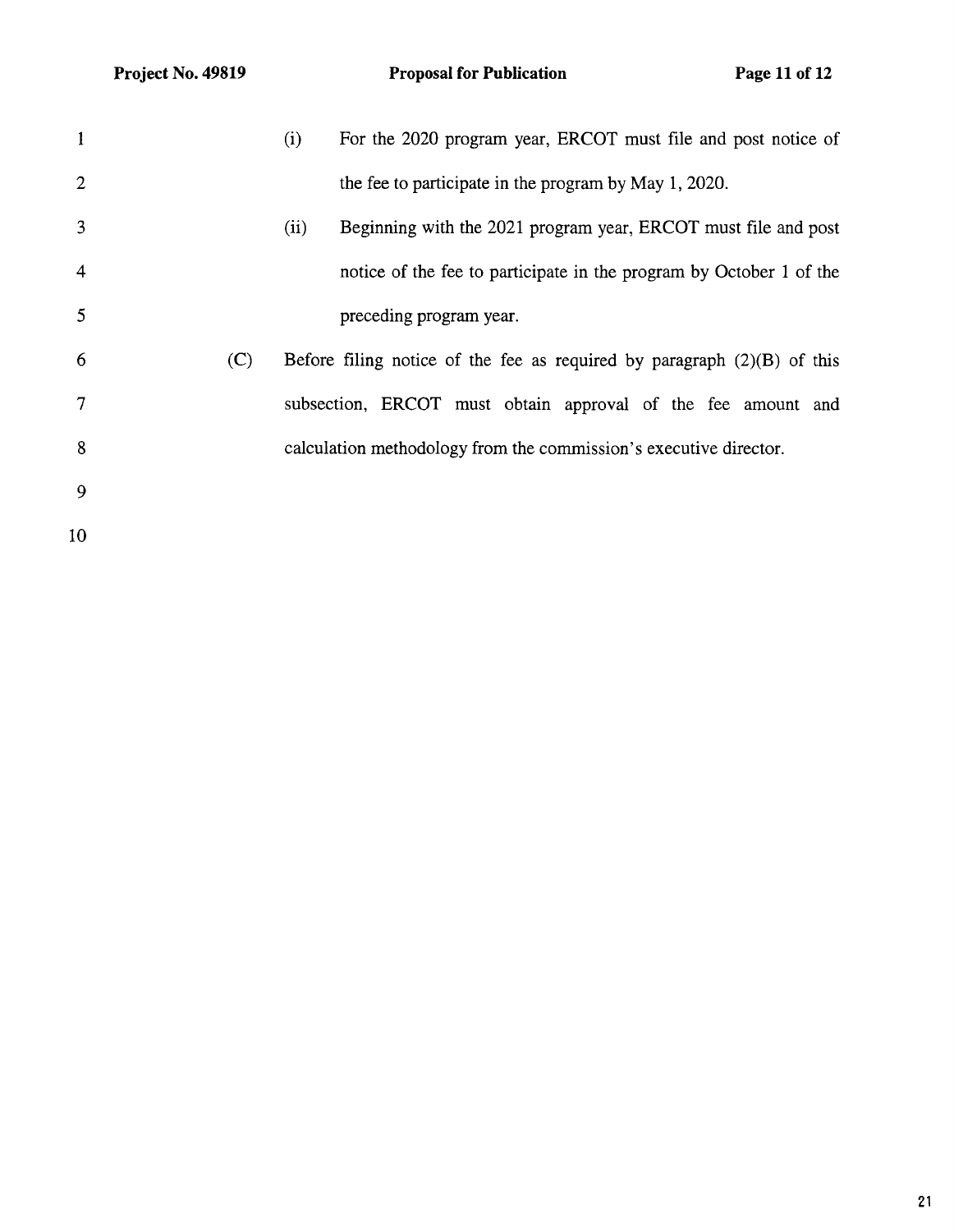| 1              |     | (i)  | For the 2020 program year, ERCOT must file and post notice of             |
|----------------|-----|------|---------------------------------------------------------------------------|
| $\overline{2}$ |     |      | the fee to participate in the program by May 1, 2020.                     |
| 3              |     | (ii) | Beginning with the 2021 program year, ERCOT must file and post            |
| 4              |     |      | notice of the fee to participate in the program by October 1 of the       |
| 5              |     |      | preceding program year.                                                   |
| 6              | (C) |      | Before filing notice of the fee as required by paragraph $(2)(B)$ of this |
| 7              |     |      | subsection, ERCOT must obtain approval of the fee amount and              |
| 8              |     |      | calculation methodology from the commission's executive director.         |
| 9              |     |      |                                                                           |
| 10             |     |      |                                                                           |